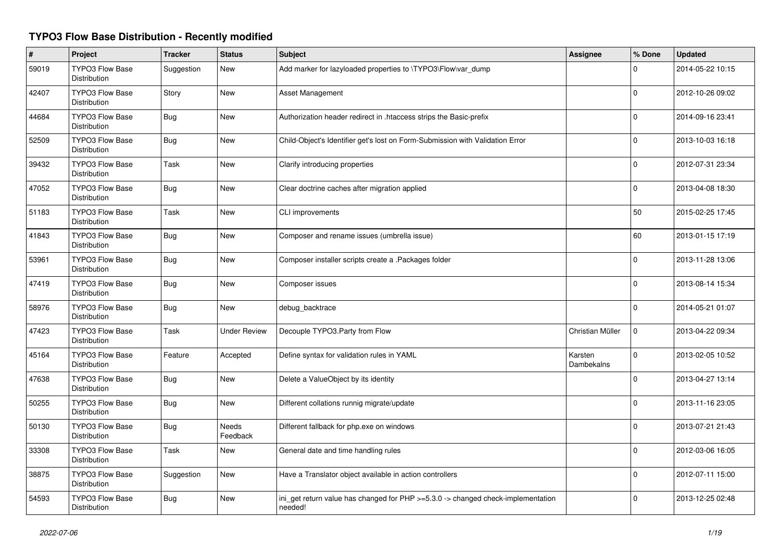## **TYPO3 Flow Base Distribution - Recently modified**

| $\#$  | Project                                       | <b>Tracker</b> | <b>Status</b>            | <b>Subject</b>                                                                              | Assignee              | % Done       | <b>Updated</b>   |
|-------|-----------------------------------------------|----------------|--------------------------|---------------------------------------------------------------------------------------------|-----------------------|--------------|------------------|
| 59019 | <b>TYPO3 Flow Base</b><br>Distribution        | Suggestion     | New                      | Add marker for lazyloaded properties to \TYPO3\Flow\var_dump                                |                       | 0            | 2014-05-22 10:15 |
| 42407 | <b>TYPO3 Flow Base</b><br>Distribution        | Story          | <b>New</b>               | Asset Management                                                                            |                       | $\Omega$     | 2012-10-26 09:02 |
| 44684 | <b>TYPO3 Flow Base</b><br><b>Distribution</b> | Bug            | <b>New</b>               | Authorization header redirect in .htaccess strips the Basic-prefix                          |                       | $\Omega$     | 2014-09-16 23:41 |
| 52509 | <b>TYPO3 Flow Base</b><br>Distribution        | <b>Bug</b>     | <b>New</b>               | Child-Object's Identifier get's lost on Form-Submission with Validation Error               |                       | $\Omega$     | 2013-10-03 16:18 |
| 39432 | <b>TYPO3 Flow Base</b><br>Distribution        | Task           | <b>New</b>               | Clarify introducing properties                                                              |                       | $\Omega$     | 2012-07-31 23:34 |
| 47052 | <b>TYPO3 Flow Base</b><br>Distribution        | <b>Bug</b>     | <b>New</b>               | Clear doctrine caches after migration applied                                               |                       | $\mathbf 0$  | 2013-04-08 18:30 |
| 51183 | <b>TYPO3 Flow Base</b><br><b>Distribution</b> | Task           | <b>New</b>               | CLI improvements                                                                            |                       | 50           | 2015-02-25 17:45 |
| 41843 | <b>TYPO3 Flow Base</b><br>Distribution        | <b>Bug</b>     | <b>New</b>               | Composer and rename issues (umbrella issue)                                                 |                       | 60           | 2013-01-15 17:19 |
| 53961 | <b>TYPO3 Flow Base</b><br>Distribution        | <b>Bug</b>     | <b>New</b>               | Composer installer scripts create a .Packages folder                                        |                       | 0            | 2013-11-28 13:06 |
| 47419 | <b>TYPO3 Flow Base</b><br><b>Distribution</b> | Bug            | <b>New</b>               | Composer issues                                                                             |                       | $\mathbf 0$  | 2013-08-14 15:34 |
| 58976 | TYPO3 Flow Base<br>Distribution               | Bug            | <b>New</b>               | debug_backtrace                                                                             |                       | $\Omega$     | 2014-05-21 01:07 |
| 47423 | <b>TYPO3 Flow Base</b><br>Distribution        | Task           | <b>Under Review</b>      | Decouple TYPO3.Party from Flow                                                              | Christian Müller      | $\mathbf 0$  | 2013-04-22 09:34 |
| 45164 | <b>TYPO3 Flow Base</b><br>Distribution        | Feature        | Accepted                 | Define syntax for validation rules in YAML                                                  | Karsten<br>Dambekalns | $\mathbf 0$  | 2013-02-05 10:52 |
| 47638 | <b>TYPO3 Flow Base</b><br>Distribution        | Bug            | <b>New</b>               | Delete a ValueObject by its identity                                                        |                       | $\Omega$     | 2013-04-27 13:14 |
| 50255 | <b>TYPO3 Flow Base</b><br>Distribution        | Bug            | <b>New</b>               | Different collations runnig migrate/update                                                  |                       | <sup>0</sup> | 2013-11-16 23:05 |
| 50130 | <b>TYPO3 Flow Base</b><br>Distribution        | <b>Bug</b>     | <b>Needs</b><br>Feedback | Different fallback for php.exe on windows                                                   |                       | $\Omega$     | 2013-07-21 21:43 |
| 33308 | <b>TYPO3 Flow Base</b><br>Distribution        | Task           | <b>New</b>               | General date and time handling rules                                                        |                       | $\mathbf{0}$ | 2012-03-06 16:05 |
| 38875 | <b>TYPO3 Flow Base</b><br>Distribution        | Suggestion     | <b>New</b>               | Have a Translator object available in action controllers                                    |                       | $\mathbf 0$  | 2012-07-11 15:00 |
| 54593 | TYPO3 Flow Base<br>Distribution               | <b>Bug</b>     | <b>New</b>               | ini_get return value has changed for PHP >=5.3.0 -> changed check-implementation<br>needed! |                       | 0            | 2013-12-25 02:48 |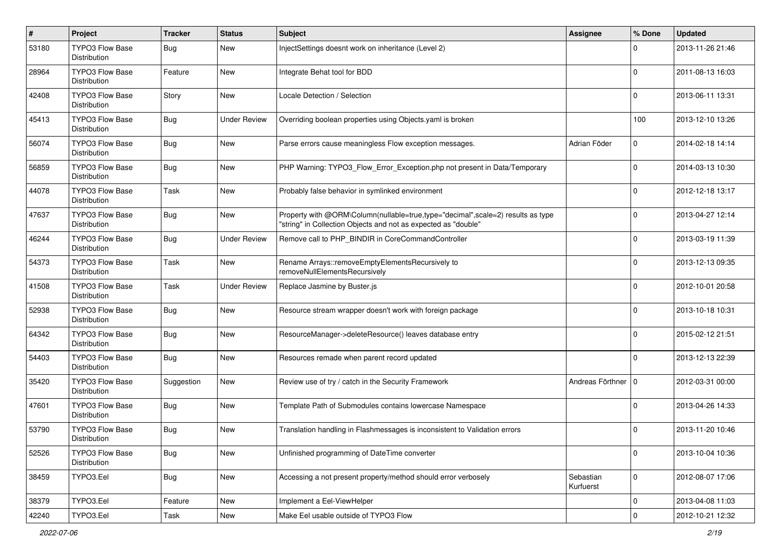| $\sharp$ | Project                                | <b>Tracker</b> | <b>Status</b>       | Subject                                                                                                                                           | <b>Assignee</b>        | % Done              | <b>Updated</b>   |
|----------|----------------------------------------|----------------|---------------------|---------------------------------------------------------------------------------------------------------------------------------------------------|------------------------|---------------------|------------------|
| 53180    | TYPO3 Flow Base<br>Distribution        | <b>Bug</b>     | New                 | InjectSettings doesnt work on inheritance (Level 2)                                                                                               |                        | 0                   | 2013-11-26 21:46 |
| 28964    | <b>TYPO3 Flow Base</b><br>Distribution | Feature        | New                 | Integrate Behat tool for BDD                                                                                                                      |                        | 0                   | 2011-08-13 16:03 |
| 42408    | <b>TYPO3 Flow Base</b><br>Distribution | Story          | <b>New</b>          | Locale Detection / Selection                                                                                                                      |                        | 0                   | 2013-06-11 13:31 |
| 45413    | <b>TYPO3 Flow Base</b><br>Distribution | <b>Bug</b>     | <b>Under Review</b> | Overriding boolean properties using Objects.yaml is broken                                                                                        |                        | 100                 | 2013-12-10 13:26 |
| 56074    | TYPO3 Flow Base<br>Distribution        | <b>Bug</b>     | <b>New</b>          | Parse errors cause meaningless Flow exception messages.                                                                                           | Adrian Föder           | 0                   | 2014-02-18 14:14 |
| 56859    | TYPO3 Flow Base<br>Distribution        | <b>Bug</b>     | <b>New</b>          | PHP Warning: TYPO3_Flow_Error_Exception.php not present in Data/Temporary                                                                         |                        | $\Omega$            | 2014-03-13 10:30 |
| 44078    | TYPO3 Flow Base<br>Distribution        | Task           | New                 | Probably false behavior in symlinked environment                                                                                                  |                        | 0                   | 2012-12-18 13:17 |
| 47637    | TYPO3 Flow Base<br>Distribution        | <b>Bug</b>     | New                 | Property with @ORM\Column(nullable=true,type="decimal",scale=2) results as type<br>"string" in Collection Objects and not as expected as "double" |                        | O                   | 2013-04-27 12:14 |
| 46244    | TYPO3 Flow Base<br>Distribution        | <b>Bug</b>     | <b>Under Review</b> | Remove call to PHP_BINDIR in CoreCommandController                                                                                                |                        | 0                   | 2013-03-19 11:39 |
| 54373    | TYPO3 Flow Base<br>Distribution        | Task           | <b>New</b>          | Rename Arrays::removeEmptyElementsRecursively to<br>removeNullElementsRecursively                                                                 |                        | 0                   | 2013-12-13 09:35 |
| 41508    | <b>TYPO3 Flow Base</b><br>Distribution | Task           | <b>Under Review</b> | Replace Jasmine by Buster.js                                                                                                                      |                        | $\Omega$            | 2012-10-01 20:58 |
| 52938    | TYPO3 Flow Base<br>Distribution        | <b>Bug</b>     | New                 | Resource stream wrapper doesn't work with foreign package                                                                                         |                        | 0                   | 2013-10-18 10:31 |
| 64342    | <b>TYPO3 Flow Base</b><br>Distribution | <b>Bug</b>     | New                 | ResourceManager->deleteResource() leaves database entry                                                                                           |                        | $\Omega$            | 2015-02-12 21:51 |
| 54403    | TYPO3 Flow Base<br>Distribution        | Bug            | <b>New</b>          | Resources remade when parent record updated                                                                                                       |                        | $\Omega$            | 2013-12-13 22:39 |
| 35420    | <b>TYPO3 Flow Base</b><br>Distribution | Suggestion     | New                 | Review use of try / catch in the Security Framework                                                                                               | Andreas Förthner       | l 0                 | 2012-03-31 00:00 |
| 47601    | <b>TYPO3 Flow Base</b><br>Distribution | <b>Bug</b>     | New                 | Template Path of Submodules contains lowercase Namespace                                                                                          |                        | 0                   | 2013-04-26 14:33 |
| 53790    | <b>TYPO3 Flow Base</b><br>Distribution | Bug            | <b>New</b>          | Translation handling in Flashmessages is inconsistent to Validation errors                                                                        |                        | 0                   | 2013-11-20 10:46 |
| 52526    | <b>TYPO3 Flow Base</b><br>Distribution | <b>Bug</b>     | New                 | Unfinished programming of DateTime converter                                                                                                      |                        | $\mathbf 0$         | 2013-10-04 10:36 |
| 38459    | TYPO3.Eel                              | Bug            | New                 | Accessing a not present property/method should error verbosely                                                                                    | Sebastian<br>Kurfuerst | $\mathbf 0$         | 2012-08-07 17:06 |
| 38379    | TYPO3.Eel                              | Feature        | New                 | Implement a Eel-ViewHelper                                                                                                                        |                        | $\mathbf 0$         | 2013-04-08 11:03 |
| 42240    | TYPO3.Eel                              | Task           | New                 | Make Eel usable outside of TYPO3 Flow                                                                                                             |                        | $\mathsf{O}\xspace$ | 2012-10-21 12:32 |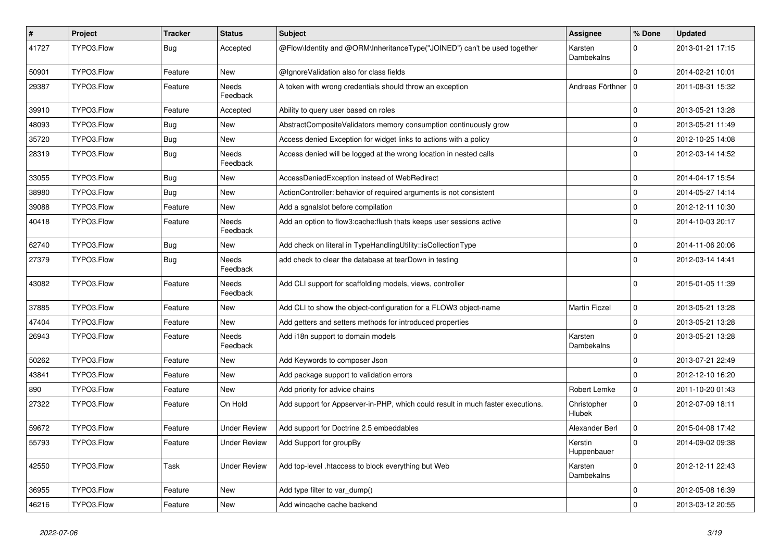| $\vert$ # | Project    | <b>Tracker</b> | <b>Status</b>       | <b>Subject</b>                                                                  | <b>Assignee</b>              | % Done      | <b>Updated</b>   |
|-----------|------------|----------------|---------------------|---------------------------------------------------------------------------------|------------------------------|-------------|------------------|
| 41727     | TYPO3.Flow | Bug            | Accepted            | @Flow\Identity and @ORM\InheritanceType("JOINED") can't be used together        | Karsten<br>Dambekalns        | $\Omega$    | 2013-01-21 17:15 |
| 50901     | TYPO3.Flow | Feature        | New                 | @IgnoreValidation also for class fields                                         |                              | $\Omega$    | 2014-02-21 10:01 |
| 29387     | TYPO3.Flow | Feature        | Needs<br>Feedback   | A token with wrong credentials should throw an exception                        | Andreas Förthner   0         |             | 2011-08-31 15:32 |
| 39910     | TYPO3.Flow | Feature        | Accepted            | Ability to query user based on roles                                            |                              | $\mathbf 0$ | 2013-05-21 13:28 |
| 48093     | TYPO3.Flow | Bug            | New                 | AbstractCompositeValidators memory consumption continuously grow                |                              | $\Omega$    | 2013-05-21 11:49 |
| 35720     | TYPO3.Flow | Bug            | New                 | Access denied Exception for widget links to actions with a policy               |                              | $\mathbf 0$ | 2012-10-25 14:08 |
| 28319     | TYPO3.Flow | Bug            | Needs<br>Feedback   | Access denied will be logged at the wrong location in nested calls              |                              | $\Omega$    | 2012-03-14 14:52 |
| 33055     | TYPO3.Flow | Bug            | New                 | AccessDeniedException instead of WebRedirect                                    |                              | $\mathbf 0$ | 2014-04-17 15:54 |
| 38980     | TYPO3.Flow | <b>Bug</b>     | New                 | ActionController: behavior of required arguments is not consistent              |                              | $\mathbf 0$ | 2014-05-27 14:14 |
| 39088     | TYPO3.Flow | Feature        | <b>New</b>          | Add a sgnalslot before compilation                                              |                              | $\mathbf 0$ | 2012-12-11 10:30 |
| 40418     | TYPO3.Flow | Feature        | Needs<br>Feedback   | Add an option to flow3:cache:flush thats keeps user sessions active             |                              | $\Omega$    | 2014-10-03 20:17 |
| 62740     | TYPO3.Flow | Bug            | New                 | Add check on literal in TypeHandlingUtility::isCollectionType                   |                              | $\mathbf 0$ | 2014-11-06 20:06 |
| 27379     | TYPO3.Flow | <b>Bug</b>     | Needs<br>Feedback   | add check to clear the database at tearDown in testing                          |                              | $\Omega$    | 2012-03-14 14:41 |
| 43082     | TYPO3.Flow | Feature        | Needs<br>Feedback   | Add CLI support for scaffolding models, views, controller                       |                              | $\Omega$    | 2015-01-05 11:39 |
| 37885     | TYPO3.Flow | Feature        | New                 | Add CLI to show the object-configuration for a FLOW3 object-name                | <b>Martin Ficzel</b>         | $\mathbf 0$ | 2013-05-21 13:28 |
| 47404     | TYPO3.Flow | Feature        | New                 | Add getters and setters methods for introduced properties                       |                              | $\mathbf 0$ | 2013-05-21 13:28 |
| 26943     | TYPO3.Flow | Feature        | Needs<br>Feedback   | Add i18n support to domain models                                               | Karsten<br>Dambekalns        | $\Omega$    | 2013-05-21 13:28 |
| 50262     | TYPO3.Flow | Feature        | New                 | Add Keywords to composer Json                                                   |                              | $\Omega$    | 2013-07-21 22:49 |
| 43841     | TYPO3.Flow | Feature        | New                 | Add package support to validation errors                                        |                              | $\Omega$    | 2012-12-10 16:20 |
| 890       | TYPO3.Flow | Feature        | New                 | Add priority for advice chains                                                  | Robert Lemke                 | $\mathbf 0$ | 2011-10-20 01:43 |
| 27322     | TYPO3.Flow | Feature        | On Hold             | Add support for Appserver-in-PHP, which could result in much faster executions. | Christopher<br><b>Hlubek</b> | $\Omega$    | 2012-07-09 18:11 |
| 59672     | TYPO3.Flow | Feature        | Under Review        | Add support for Doctrine 2.5 embeddables                                        | Alexander Berl               | $\mathbf 0$ | 2015-04-08 17:42 |
| 55793     | TYPO3.Flow | Feature        | <b>Under Review</b> | Add Support for groupBy                                                         | Kerstin<br>Huppenbauer       | $\mathbf 0$ | 2014-09-02 09:38 |
| 42550     | TYPO3.Flow | Task           | <b>Under Review</b> | Add top-level .htaccess to block everything but Web                             | Karsten<br>Dambekalns        | $\mathbf 0$ | 2012-12-11 22:43 |
| 36955     | TYPO3.Flow | Feature        | New                 | Add type filter to var dump()                                                   |                              | 0           | 2012-05-08 16:39 |
| 46216     | TYPO3.Flow | Feature        | New                 | Add wincache cache backend                                                      |                              | $\pmb{0}$   | 2013-03-12 20:55 |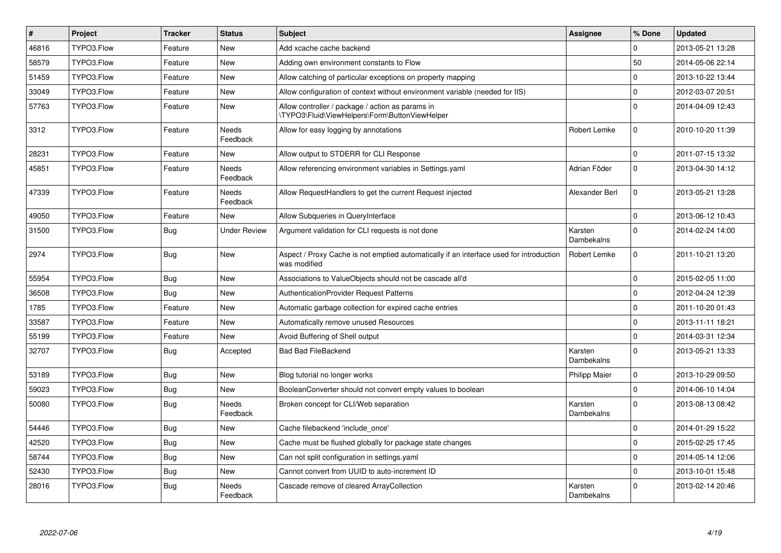| $\pmb{\#}$ | Project    | <b>Tracker</b> | <b>Status</b>            | <b>Subject</b>                                                                                          | Assignee                     | % Done         | <b>Updated</b>   |
|------------|------------|----------------|--------------------------|---------------------------------------------------------------------------------------------------------|------------------------------|----------------|------------------|
| 46816      | TYPO3.Flow | Feature        | <b>New</b>               | Add xcache cache backend                                                                                |                              | $\Omega$       | 2013-05-21 13:28 |
| 58579      | TYPO3.Flow | Feature        | <b>New</b>               | Adding own environment constants to Flow                                                                |                              | 50             | 2014-05-06 22:14 |
| 51459      | TYPO3.Flow | Feature        | New                      | Allow catching of particular exceptions on property mapping                                             |                              | $\Omega$       | 2013-10-22 13:44 |
| 33049      | TYPO3.Flow | Feature        | <b>New</b>               | Allow configuration of context without environment variable (needed for IIS)                            |                              | $\overline{0}$ | 2012-03-07 20:51 |
| 57763      | TYPO3.Flow | Feature        | <b>New</b>               | Allow controller / package / action as params in<br>\TYPO3\Fluid\ViewHelpers\Form\ButtonViewHelper      |                              | $\Omega$       | 2014-04-09 12:43 |
| 3312       | TYPO3.Flow | Feature        | <b>Needs</b><br>Feedback | Allow for easy logging by annotations                                                                   | Robert Lemke                 | $\overline{0}$ | 2010-10-20 11:39 |
| 28231      | TYPO3.Flow | Feature        | <b>New</b>               | Allow output to STDERR for CLI Response                                                                 |                              | $\Omega$       | 2011-07-15 13:32 |
| 45851      | TYPO3.Flow | Feature        | Needs<br>Feedback        | Allow referencing environment variables in Settings.yaml                                                | Adrian Föder                 | $\overline{0}$ | 2013-04-30 14:12 |
| 47339      | TYPO3.Flow | Feature        | <b>Needs</b><br>Feedback | Allow RequestHandlers to get the current Request injected                                               | Alexander Berl               | $\Omega$       | 2013-05-21 13:28 |
| 49050      | TYPO3.Flow | Feature        | <b>New</b>               | Allow Subqueries in QueryInterface                                                                      |                              | $\overline{0}$ | 2013-06-12 10:43 |
| 31500      | TYPO3.Flow | Bug            | <b>Under Review</b>      | Argument validation for CLI requests is not done                                                        | Karsten<br>Dambekalns        | $\Omega$       | 2014-02-24 14:00 |
| 2974       | TYPO3.Flow | <b>Bug</b>     | <b>New</b>               | Aspect / Proxy Cache is not emptied automatically if an interface used for introduction<br>was modified | Robert Lemke                 | $\Omega$       | 2011-10-21 13:20 |
| 55954      | TYPO3.Flow | <b>Bug</b>     | <b>New</b>               | Associations to ValueObjects should not be cascade all'd                                                |                              | $\Omega$       | 2015-02-05 11:00 |
| 36508      | TYPO3.Flow | <b>Bug</b>     | <b>New</b>               | AuthenticationProvider Request Patterns                                                                 |                              | 0              | 2012-04-24 12:39 |
| 1785       | TYPO3.Flow | Feature        | <b>New</b>               | Automatic garbage collection for expired cache entries                                                  |                              | $\Omega$       | 2011-10-20 01:43 |
| 33587      | TYPO3.Flow | Feature        | <b>New</b>               | Automatically remove unused Resources                                                                   |                              | $\overline{0}$ | 2013-11-11 18:21 |
| 55199      | TYPO3.Flow | Feature        | <b>New</b>               | Avoid Buffering of Shell output                                                                         |                              | $\Omega$       | 2014-03-31 12:34 |
| 32707      | TYPO3.Flow | <b>Bug</b>     | Accepted                 | <b>Bad Bad FileBackend</b>                                                                              | Karsten<br>Dambekalns        | $\Omega$       | 2013-05-21 13:33 |
| 53189      | TYPO3.Flow | Bug            | New                      | Blog tutorial no longer works                                                                           | <b>Philipp Maier</b>         | $\mathbf 0$    | 2013-10-29 09:50 |
| 59023      | TYPO3.Flow | <b>Bug</b>     | <b>New</b>               | BooleanConverter should not convert empty values to boolean                                             |                              | $\Omega$       | 2014-06-10 14:04 |
| 50080      | TYPO3.Flow | <b>Bug</b>     | Needs<br>Feedback        | Broken concept for CLI/Web separation                                                                   | Karsten<br>Dambekalns        | 0              | 2013-08-13 08:42 |
| 54446      | TYPO3.Flow | <b>Bug</b>     | <b>New</b>               | Cache filebackend 'include once'                                                                        |                              | $\Omega$       | 2014-01-29 15:22 |
| 42520      | TYPO3.Flow | <b>Bug</b>     | New                      | Cache must be flushed globally for package state changes                                                |                              | 0              | 2015-02-25 17:45 |
| 58744      | TYPO3.Flow | <b>Bug</b>     | <b>New</b>               | Can not split configuration in settings.yaml                                                            |                              | $\overline{0}$ | 2014-05-14 12:06 |
| 52430      | TYPO3.Flow | <b>Bug</b>     | New                      | Cannot convert from UUID to auto-increment ID                                                           |                              | $\overline{0}$ | 2013-10-01 15:48 |
| 28016      | TYPO3.Flow | <b>Bug</b>     | <b>Needs</b><br>Feedback | Cascade remove of cleared ArrayCollection                                                               | Karsten<br><b>Dambekalns</b> | $\Omega$       | 2013-02-14 20:46 |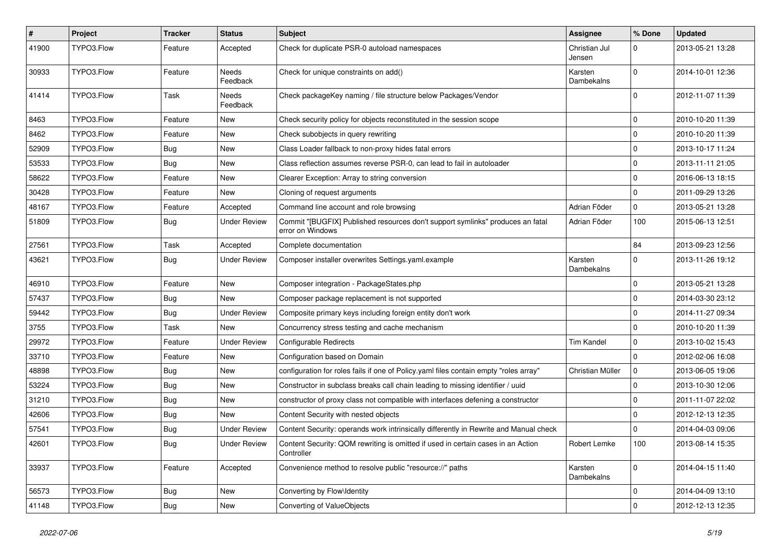| $\sharp$ | Project    | <b>Tracker</b> | <b>Status</b>       | <b>Subject</b>                                                                                     | <b>Assignee</b>         | % Done       | <b>Updated</b>   |
|----------|------------|----------------|---------------------|----------------------------------------------------------------------------------------------------|-------------------------|--------------|------------------|
| 41900    | TYPO3.Flow | Feature        | Accepted            | Check for duplicate PSR-0 autoload namespaces                                                      | Christian Jul<br>Jensen | $\Omega$     | 2013-05-21 13:28 |
| 30933    | TYPO3.Flow | Feature        | Needs<br>Feedback   | Check for unique constraints on add()                                                              | Karsten<br>Dambekalns   | $\Omega$     | 2014-10-01 12:36 |
| 41414    | TYPO3.Flow | Task           | Needs<br>Feedback   | Check packageKey naming / file structure below Packages/Vendor                                     |                         | $\Omega$     | 2012-11-07 11:39 |
| 8463     | TYPO3.Flow | Feature        | New                 | Check security policy for objects reconstituted in the session scope                               |                         | $\mathbf 0$  | 2010-10-20 11:39 |
| 8462     | TYPO3.Flow | Feature        | New                 | Check subobjects in query rewriting                                                                |                         | $\mathbf 0$  | 2010-10-20 11:39 |
| 52909    | TYPO3.Flow | Bug            | New                 | Class Loader fallback to non-proxy hides fatal errors                                              |                         | $\mathbf 0$  | 2013-10-17 11:24 |
| 53533    | TYPO3.Flow | <b>Bug</b>     | New                 | Class reflection assumes reverse PSR-0, can lead to fail in autoloader                             |                         | 0            | 2013-11-11 21:05 |
| 58622    | TYPO3.Flow | Feature        | New                 | Clearer Exception: Array to string conversion                                                      |                         | $\Omega$     | 2016-06-13 18:15 |
| 30428    | TYPO3.Flow | Feature        | New                 | Cloning of request arguments                                                                       |                         | $\Omega$     | 2011-09-29 13:26 |
| 48167    | TYPO3.Flow | Feature        | Accepted            | Command line account and role browsing                                                             | Adrian Föder            | $\mathbf 0$  | 2013-05-21 13:28 |
| 51809    | TYPO3.Flow | Bug            | <b>Under Review</b> | Commit "[BUGFIX] Published resources don't support symlinks" produces an fatal<br>error on Windows | Adrian Föder            | 100          | 2015-06-13 12:51 |
| 27561    | TYPO3.Flow | Task           | Accepted            | Complete documentation                                                                             |                         | 84           | 2013-09-23 12:56 |
| 43621    | TYPO3.Flow | Bug            | <b>Under Review</b> | Composer installer overwrites Settings yaml.example                                                | Karsten<br>Dambekalns   | $\mathbf 0$  | 2013-11-26 19:12 |
| 46910    | TYPO3.Flow | Feature        | New                 | Composer integration - PackageStates.php                                                           |                         | $\Omega$     | 2013-05-21 13:28 |
| 57437    | TYPO3.Flow | Bug            | <b>New</b>          | Composer package replacement is not supported                                                      |                         | $\Omega$     | 2014-03-30 23:12 |
| 59442    | TYPO3.Flow | Bug            | <b>Under Review</b> | Composite primary keys including foreign entity don't work                                         |                         | $\Omega$     | 2014-11-27 09:34 |
| 3755     | TYPO3.Flow | Task           | New                 | Concurrency stress testing and cache mechanism                                                     |                         | $\Omega$     | 2010-10-20 11:39 |
| 29972    | TYPO3.Flow | Feature        | <b>Under Review</b> | Configurable Redirects                                                                             | <b>Tim Kandel</b>       | $\mathbf 0$  | 2013-10-02 15:43 |
| 33710    | TYPO3.Flow | Feature        | New                 | Configuration based on Domain                                                                      |                         | $\Omega$     | 2012-02-06 16:08 |
| 48898    | TYPO3.Flow | Bug            | New                 | configuration for roles fails if one of Policy yaml files contain empty "roles array"              | Christian Müller        | 0            | 2013-06-05 19:06 |
| 53224    | TYPO3.Flow | <b>Bug</b>     | <b>New</b>          | Constructor in subclass breaks call chain leading to missing identifier / uuid                     |                         | 0            | 2013-10-30 12:06 |
| 31210    | TYPO3.Flow | Bug            | New                 | constructor of proxy class not compatible with interfaces defening a constructor                   |                         | $\mathbf 0$  | 2011-11-07 22:02 |
| 42606    | TYPO3.Flow | Bug            | <b>New</b>          | Content Security with nested objects                                                               |                         | $\Omega$     | 2012-12-13 12:35 |
| 57541    | TYPO3.Flow | <b>Bug</b>     | <b>Under Review</b> | Content Security: operands work intrinsically differently in Rewrite and Manual check              |                         | $\Omega$     | 2014-04-03 09:06 |
| 42601    | TYPO3.Flow | <b>Bug</b>     | <b>Under Review</b> | Content Security: QOM rewriting is omitted if used in certain cases in an Action<br>Controller     | Robert Lemke            | 100          | 2013-08-14 15:35 |
| 33937    | TYPO3.Flow | Feature        | Accepted            | Convenience method to resolve public "resource://" paths                                           | Karsten<br>Dambekalns   | $\mathbf 0$  | 2014-04-15 11:40 |
| 56573    | TYPO3.Flow | Bug            | New                 | Converting by Flow\Identity                                                                        |                         | $\mathsf{O}$ | 2014-04-09 13:10 |
| 41148    | TYPO3.Flow | Bug            | New                 | Converting of ValueObjects                                                                         |                         | $\pmb{0}$    | 2012-12-13 12:35 |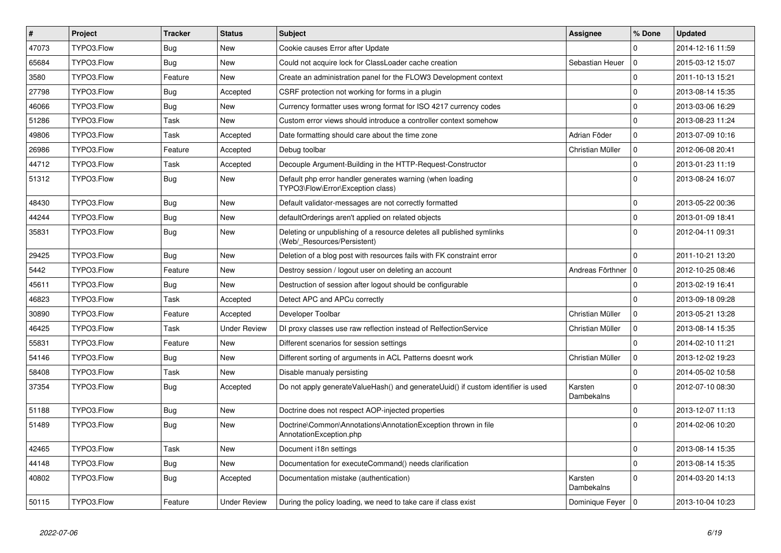| $\sharp$ | <b>Project</b> | <b>Tracker</b> | <b>Status</b>       | <b>Subject</b>                                                                                       | <b>Assignee</b>       | % Done       | <b>Updated</b>   |
|----------|----------------|----------------|---------------------|------------------------------------------------------------------------------------------------------|-----------------------|--------------|------------------|
| 47073    | TYPO3.Flow     | Bug            | <b>New</b>          | Cookie causes Error after Update                                                                     |                       | $\Omega$     | 2014-12-16 11:59 |
| 65684    | TYPO3.Flow     | Bug            | <b>New</b>          | Could not acquire lock for ClassLoader cache creation                                                | Sebastian Heuer       | l o          | 2015-03-12 15:07 |
| 3580     | TYPO3.Flow     | Feature        | <b>New</b>          | Create an administration panel for the FLOW3 Development context                                     |                       | $\Omega$     | 2011-10-13 15:21 |
| 27798    | TYPO3.Flow     | <b>Bug</b>     | Accepted            | CSRF protection not working for forms in a plugin                                                    |                       | $\mathsf 0$  | 2013-08-14 15:35 |
| 46066    | TYPO3.Flow     | Bug            | New                 | Currency formatter uses wrong format for ISO 4217 currency codes                                     |                       | $\mathbf 0$  | 2013-03-06 16:29 |
| 51286    | TYPO3.Flow     | Task           | <b>New</b>          | Custom error views should introduce a controller context somehow                                     |                       | $\mathbf 0$  | 2013-08-23 11:24 |
| 49806    | TYPO3.Flow     | Task           | Accepted            | Date formatting should care about the time zone                                                      | Adrian Föder          | $\Omega$     | 2013-07-09 10:16 |
| 26986    | TYPO3.Flow     | Feature        | Accepted            | Debug toolbar                                                                                        | Christian Müller      | $\mathbf{0}$ | 2012-06-08 20:41 |
| 44712    | TYPO3.Flow     | Task           | Accepted            | Decouple Argument-Building in the HTTP-Request-Constructor                                           |                       | $\mathbf 0$  | 2013-01-23 11:19 |
| 51312    | TYPO3.Flow     | <b>Bug</b>     | New                 | Default php error handler generates warning (when loading<br>TYPO3\Flow\Error\Exception class)       |                       | $\Omega$     | 2013-08-24 16:07 |
| 48430    | TYPO3.Flow     | Bug            | <b>New</b>          | Default validator-messages are not correctly formatted                                               |                       | $\Omega$     | 2013-05-22 00:36 |
| 44244    | TYPO3.Flow     | Bug            | <b>New</b>          | defaultOrderings aren't applied on related objects                                                   |                       | $\Omega$     | 2013-01-09 18:41 |
| 35831    | TYPO3.Flow     | <b>Bug</b>     | New                 | Deleting or unpublishing of a resource deletes all published symlinks<br>(Web/_Resources/Persistent) |                       | $\Omega$     | 2012-04-11 09:31 |
| 29425    | TYPO3.Flow     | <b>Bug</b>     | <b>New</b>          | Deletion of a blog post with resources fails with FK constraint error                                |                       | $\Omega$     | 2011-10-21 13:20 |
| 5442     | TYPO3.Flow     | Feature        | <b>New</b>          | Destroy session / logout user on deleting an account                                                 | Andreas Förthner      | l o          | 2012-10-25 08:46 |
| 45611    | TYPO3.Flow     | <b>Bug</b>     | <b>New</b>          | Destruction of session after logout should be configurable                                           |                       | $\mathbf 0$  | 2013-02-19 16:41 |
| 46823    | TYPO3.Flow     | Task           | Accepted            | Detect APC and APCu correctly                                                                        |                       | $\Omega$     | 2013-09-18 09:28 |
| 30890    | TYPO3.Flow     | Feature        | Accepted            | Developer Toolbar                                                                                    | Christian Müller      | $\mathbf 0$  | 2013-05-21 13:28 |
| 46425    | TYPO3.Flow     | Task           | <b>Under Review</b> | DI proxy classes use raw reflection instead of RelfectionService                                     | Christian Müller      | l o          | 2013-08-14 15:35 |
| 55831    | TYPO3.Flow     | Feature        | <b>New</b>          | Different scenarios for session settings                                                             |                       | $\mathbf 0$  | 2014-02-10 11:21 |
| 54146    | TYPO3.Flow     | <b>Bug</b>     | New                 | Different sorting of arguments in ACL Patterns doesnt work                                           | Christian Müller      | I٥           | 2013-12-02 19:23 |
| 58408    | TYPO3.Flow     | Task           | <b>New</b>          | Disable manualy persisting                                                                           |                       | $\Omega$     | 2014-05-02 10:58 |
| 37354    | TYPO3.Flow     | Bug            | Accepted            | Do not apply generate Value Hash() and generate Uuid() if custom identifier is used                  | Karsten<br>Dambekalns | $\Omega$     | 2012-07-10 08:30 |
| 51188    | TYPO3.Flow     | Bug            | <b>New</b>          | Doctrine does not respect AOP-injected properties                                                    |                       | $\Omega$     | 2013-12-07 11:13 |
| 51489    | TYPO3.Flow     | Bug            | <b>New</b>          | Doctrine\Common\Annotations\AnnotationException thrown in file<br>AnnotationException.php            |                       | $\Omega$     | 2014-02-06 10:20 |
| 42465    | TYPO3.Flow     | Task           | <b>New</b>          | Document i18n settings                                                                               |                       | $\mathbf 0$  | 2013-08-14 15:35 |
| 44148    | TYPO3.Flow     | <b>Bug</b>     | New                 | Documentation for executeCommand() needs clarification                                               |                       | $\Omega$     | 2013-08-14 15:35 |
| 40802    | TYPO3.Flow     | <b>Bug</b>     | Accepted            | Documentation mistake (authentication)                                                               | Karsten<br>Dambekalns | $\Omega$     | 2014-03-20 14:13 |
| 50115    | TYPO3.Flow     | Feature        | <b>Under Review</b> | During the policy loading, we need to take care if class exist                                       | Dominique Feyer   0   |              | 2013-10-04 10:23 |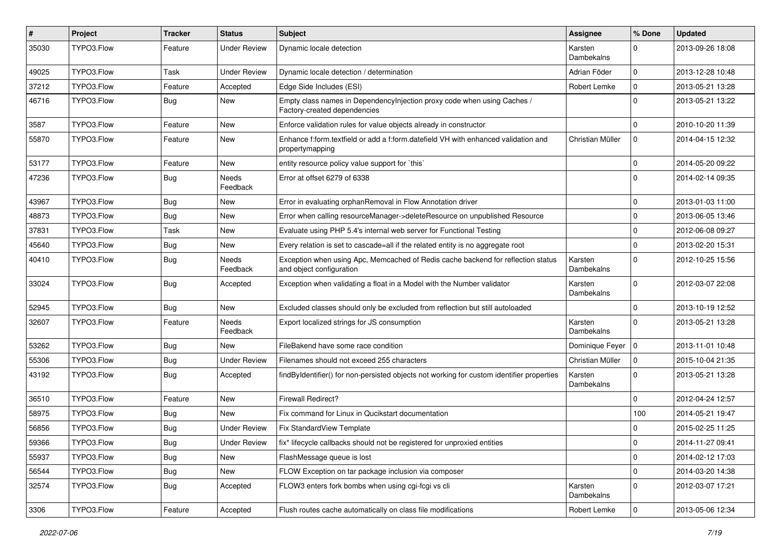| #     | Project    | <b>Tracker</b> | <b>Status</b>       | <b>Subject</b>                                                                                               | <b>Assignee</b>       | % Done              | <b>Updated</b>   |
|-------|------------|----------------|---------------------|--------------------------------------------------------------------------------------------------------------|-----------------------|---------------------|------------------|
| 35030 | TYPO3.Flow | Feature        | <b>Under Review</b> | Dynamic locale detection                                                                                     | Karsten<br>Dambekalns | $\Omega$            | 2013-09-26 18:08 |
| 49025 | TYPO3.Flow | Task           | <b>Under Review</b> | Dynamic locale detection / determination                                                                     | Adrian Föder          | $\mathbf 0$         | 2013-12-28 10:48 |
| 37212 | TYPO3.Flow | Feature        | Accepted            | Edge Side Includes (ESI)                                                                                     | Robert Lemke          | $\mathbf 0$         | 2013-05-21 13:28 |
| 46716 | TYPO3.Flow | Bug            | New                 | Empty class names in DependencyInjection proxy code when using Caches /<br>Factory-created dependencies      |                       | $\Omega$            | 2013-05-21 13:22 |
| 3587  | TYPO3.Flow | Feature        | <b>New</b>          | Enforce validation rules for value objects already in constructor                                            |                       | $\Omega$            | 2010-10-20 11:39 |
| 55870 | TYPO3.Flow | Feature        | New                 | Enhance f:form.textfield or add a f:form.datefield VH with enhanced validation and<br>propertymapping        | Christian Müller      | 0                   | 2014-04-15 12:32 |
| 53177 | TYPO3.Flow | Feature        | <b>New</b>          | entity resource policy value support for `this`                                                              |                       | $\mathbf 0$         | 2014-05-20 09:22 |
| 47236 | TYPO3.Flow | Bug            | Needs<br>Feedback   | Error at offset 6279 of 6338                                                                                 |                       | $\Omega$            | 2014-02-14 09:35 |
| 43967 | TYPO3.Flow | <b>Bug</b>     | New                 | Error in evaluating orphanRemoval in Flow Annotation driver                                                  |                       | $\mathbf 0$         | 2013-01-03 11:00 |
| 48873 | TYPO3.Flow | Bug            | New                 | Error when calling resourceManager->deleteResource on unpublished Resource                                   |                       | $\mathbf 0$         | 2013-06-05 13:46 |
| 37831 | TYPO3.Flow | Task           | <b>New</b>          | Evaluate using PHP 5.4's internal web server for Functional Testing                                          |                       | $\mathbf 0$         | 2012-06-08 09:27 |
| 45640 | TYPO3.Flow | Bug            | New                 | Every relation is set to cascade=all if the related entity is no aggregate root                              |                       | $\Omega$            | 2013-02-20 15:31 |
| 40410 | TYPO3.Flow | Bug            | Needs<br>Feedback   | Exception when using Apc, Memcached of Redis cache backend for reflection status<br>and object configuration | Karsten<br>Dambekalns | $\Omega$            | 2012-10-25 15:56 |
| 33024 | TYPO3.Flow | Bug            | Accepted            | Exception when validating a float in a Model with the Number validator                                       | Karsten<br>Dambekalns | $\Omega$            | 2012-03-07 22:08 |
| 52945 | TYPO3.Flow | <b>Bug</b>     | <b>New</b>          | Excluded classes should only be excluded from reflection but still autoloaded                                |                       | $\mathbf 0$         | 2013-10-19 12:52 |
| 32607 | TYPO3.Flow | Feature        | Needs<br>Feedback   | Export localized strings for JS consumption                                                                  | Karsten<br>Dambekalns | $\Omega$            | 2013-05-21 13:28 |
| 53262 | TYPO3.Flow | Bug            | New                 | FileBakend have some race condition                                                                          | Dominique Feyer   0   |                     | 2013-11-01 10:48 |
| 55306 | TYPO3.Flow | Bug            | <b>Under Review</b> | Filenames should not exceed 255 characters                                                                   | Christian Müller      | $\mathbf 0$         | 2015-10-04 21:35 |
| 43192 | TYPO3.Flow | <b>Bug</b>     | Accepted            | findByIdentifier() for non-persisted objects not working for custom identifier properties                    | Karsten<br>Dambekalns | $\Omega$            | 2013-05-21 13:28 |
| 36510 | TYPO3.Flow | Feature        | <b>New</b>          | Firewall Redirect?                                                                                           |                       | $\Omega$            | 2012-04-24 12:57 |
| 58975 | TYPO3.Flow | <b>Bug</b>     | <b>New</b>          | Fix command for Linux in Qucikstart documentation                                                            |                       | 100                 | 2014-05-21 19:47 |
| 56856 | TYPO3.Flow | <b>Bug</b>     | Under Review        | Fix StandardView Template                                                                                    |                       | 0                   | 2015-02-25 11:25 |
| 59366 | TYPO3.Flow | Bug            | <b>Under Review</b> | fix* lifecycle callbacks should not be registered for unproxied entities                                     |                       | 0                   | 2014-11-27 09:41 |
| 55937 | TYPO3.Flow | Bug            | New                 | FlashMessage queue is lost                                                                                   |                       | 0                   | 2014-02-12 17:03 |
| 56544 | TYPO3.Flow | <b>Bug</b>     | New                 | FLOW Exception on tar package inclusion via composer                                                         |                       | $\mathsf{O}\xspace$ | 2014-03-20 14:38 |
| 32574 | TYPO3.Flow | Bug            | Accepted            | FLOW3 enters fork bombs when using cgi-fcgi vs cli                                                           | Karsten<br>Dambekalns | $\mathbf 0$         | 2012-03-07 17:21 |
| 3306  | TYPO3.Flow | Feature        | Accepted            | Flush routes cache automatically on class file modifications                                                 | Robert Lemke          | 0                   | 2013-05-06 12:34 |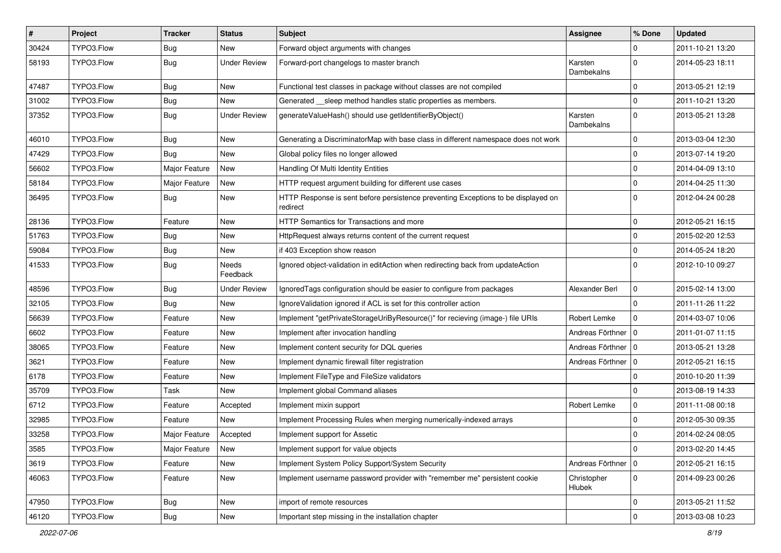| $\sharp$ | Project    | <b>Tracker</b> | <b>Status</b>       | Subject                                                                                       | <b>Assignee</b>       | % Done      | <b>Updated</b>   |
|----------|------------|----------------|---------------------|-----------------------------------------------------------------------------------------------|-----------------------|-------------|------------------|
| 30424    | TYPO3.Flow | <b>Bug</b>     | <b>New</b>          | Forward object arguments with changes                                                         |                       | 0           | 2011-10-21 13:20 |
| 58193    | TYPO3.Flow | Bug            | <b>Under Review</b> | Forward-port changelogs to master branch                                                      | Karsten<br>Dambekalns | $\Omega$    | 2014-05-23 18:11 |
| 47487    | TYPO3.Flow | <b>Bug</b>     | <b>New</b>          | Functional test classes in package without classes are not compiled                           |                       | $\mathbf 0$ | 2013-05-21 12:19 |
| 31002    | TYPO3.Flow | <b>Bug</b>     | <b>New</b>          | Generated __sleep method handles static properties as members.                                |                       | $\mathbf 0$ | 2011-10-21 13:20 |
| 37352    | TYPO3.Flow | <b>Bug</b>     | <b>Under Review</b> | generateValueHash() should use getIdentifierByObject()                                        | Karsten<br>Dambekalns | $\mathbf 0$ | 2013-05-21 13:28 |
| 46010    | TYPO3.Flow | Bug            | New                 | Generating a DiscriminatorMap with base class in different namespace does not work            |                       | $\mathbf 0$ | 2013-03-04 12:30 |
| 47429    | TYPO3.Flow | Bug            | <b>New</b>          | Global policy files no longer allowed                                                         |                       | $\mathbf 0$ | 2013-07-14 19:20 |
| 56602    | TYPO3.Flow | Major Feature  | <b>New</b>          | Handling Of Multi Identity Entities                                                           |                       | $\mathbf 0$ | 2014-04-09 13:10 |
| 58184    | TYPO3.Flow | Major Feature  | New                 | HTTP request argument building for different use cases                                        |                       | $\mathbf 0$ | 2014-04-25 11:30 |
| 36495    | TYPO3.Flow | Bug            | <b>New</b>          | HTTP Response is sent before persistence preventing Exceptions to be displayed on<br>redirect |                       | $\Omega$    | 2012-04-24 00:28 |
| 28136    | TYPO3.Flow | Feature        | <b>New</b>          | HTTP Semantics for Transactions and more                                                      |                       | $\mathbf 0$ | 2012-05-21 16:15 |
| 51763    | TYPO3.Flow | Bug            | <b>New</b>          | HttpRequest always returns content of the current request                                     |                       | $\mathbf 0$ | 2015-02-20 12:53 |
| 59084    | TYPO3.Flow | Bug            | New                 | if 403 Exception show reason                                                                  |                       | 0           | 2014-05-24 18:20 |
| 41533    | TYPO3.Flow | Bug            | Needs<br>Feedback   | Ignored object-validation in editAction when redirecting back from updateAction               |                       | $\Omega$    | 2012-10-10 09:27 |
| 48596    | TYPO3.Flow | Bug            | <b>Under Review</b> | Ignored Tags configuration should be easier to configure from packages                        | Alexander Berl        | $\mathbf 0$ | 2015-02-14 13:00 |
| 32105    | TYPO3.Flow | Bug            | <b>New</b>          | IgnoreValidation ignored if ACL is set for this controller action                             |                       | $\mathbf 0$ | 2011-11-26 11:22 |
| 56639    | TYPO3.Flow | Feature        | <b>New</b>          | Implement "getPrivateStorageUriByResource()" for recieving (image-) file URIs                 | Robert Lemke          | $\mathbf 0$ | 2014-03-07 10:06 |
| 6602     | TYPO3.Flow | Feature        | New                 | Implement after invocation handling                                                           | Andreas Förthner   0  |             | 2011-01-07 11:15 |
| 38065    | TYPO3.Flow | Feature        | <b>New</b>          | Implement content security for DQL queries                                                    | Andreas Förthner   0  |             | 2013-05-21 13:28 |
| 3621     | TYPO3.Flow | Feature        | New                 | Implement dynamic firewall filter registration                                                | Andreas Förthner   0  |             | 2012-05-21 16:15 |
| 6178     | TYPO3.Flow | Feature        | <b>New</b>          | Implement FileType and FileSize validators                                                    |                       | $\mathbf 0$ | 2010-10-20 11:39 |
| 35709    | TYPO3.Flow | Task           | <b>New</b>          | Implement global Command aliases                                                              |                       | 0           | 2013-08-19 14:33 |
| 6712     | TYPO3.Flow | Feature        | Accepted            | Implement mixin support                                                                       | Robert Lemke          | $\mathbf 0$ | 2011-11-08 00:18 |
| 32985    | TYPO3.Flow | Feature        | <b>New</b>          | Implement Processing Rules when merging numerically-indexed arrays                            |                       | $\mathbf 0$ | 2012-05-30 09:35 |
| 33258    | TYPO3.Flow | Major Feature  | Accepted            | Implement support for Assetic                                                                 |                       | 0           | 2014-02-24 08:05 |
| 3585     | TYPO3.Flow | Major Feature  | New                 | Implement support for value objects                                                           |                       | 0           | 2013-02-20 14:45 |
| 3619     | TYPO3.Flow | Feature        | New                 | Implement System Policy Support/System Security                                               | Andreas Förthner   0  |             | 2012-05-21 16:15 |
| 46063    | TYPO3.Flow | Feature        | New                 | Implement username password provider with "remember me" persistent cookie                     | Christopher<br>Hlubek | 0           | 2014-09-23 00:26 |
| 47950    | TYPO3.Flow | Bug            | New                 | import of remote resources                                                                    |                       | $\mathbf 0$ | 2013-05-21 11:52 |
| 46120    | TYPO3.Flow | Bug            | New                 | Important step missing in the installation chapter                                            |                       | $\pmb{0}$   | 2013-03-08 10:23 |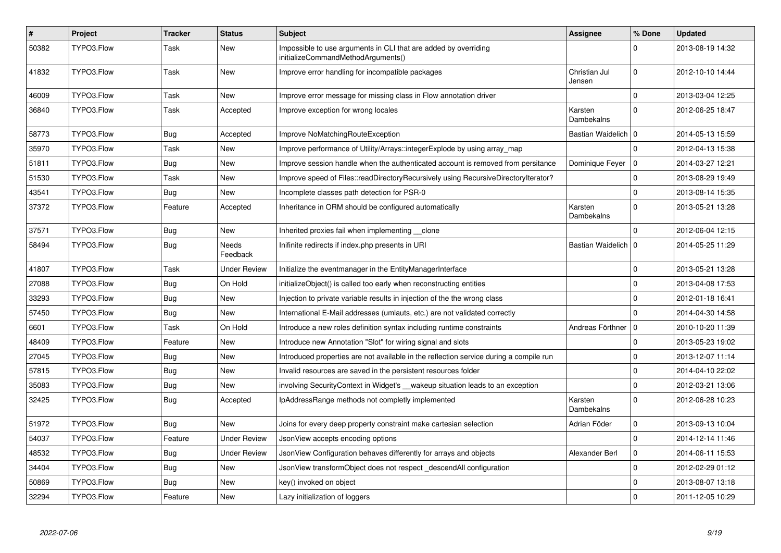| $\vert$ # | <b>Project</b> | <b>Tracker</b> | <b>Status</b>       | <b>Subject</b>                                                                                        | Assignee                | % Done      | <b>Updated</b>   |
|-----------|----------------|----------------|---------------------|-------------------------------------------------------------------------------------------------------|-------------------------|-------------|------------------|
| 50382     | TYPO3.Flow     | Task           | <b>New</b>          | Impossible to use arguments in CLI that are added by overriding<br>initializeCommandMethodArguments() |                         | $\Omega$    | 2013-08-19 14:32 |
| 41832     | TYPO3.Flow     | Task           | <b>New</b>          | Improve error handling for incompatible packages                                                      | Christian Jul<br>Jensen | $\mathbf 0$ | 2012-10-10 14:44 |
| 46009     | TYPO3.Flow     | Task           | <b>New</b>          | Improve error message for missing class in Flow annotation driver                                     |                         | $\mathbf 0$ | 2013-03-04 12:25 |
| 36840     | TYPO3.Flow     | Task           | Accepted            | Improve exception for wrong locales                                                                   | Karsten<br>Dambekalns   | $\Omega$    | 2012-06-25 18:47 |
| 58773     | TYPO3.Flow     | Bug            | Accepted            | Improve NoMatchingRouteException                                                                      | Bastian Waidelich   0   |             | 2014-05-13 15:59 |
| 35970     | TYPO3.Flow     | Task           | New                 | Improve performance of Utility/Arrays::integerExplode by using array map                              |                         | $\Omega$    | 2012-04-13 15:38 |
| 51811     | TYPO3.Flow     | <b>Bug</b>     | New                 | Improve session handle when the authenticated account is removed from persitance                      | Dominique Feyer   0     |             | 2014-03-27 12:21 |
| 51530     | TYPO3.Flow     | Task           | <b>New</b>          | Improve speed of Files::readDirectoryRecursively using RecursiveDirectoryIterator?                    |                         | $\Omega$    | 2013-08-29 19:49 |
| 43541     | TYPO3.Flow     | Bug            | <b>New</b>          | Incomplete classes path detection for PSR-0                                                           |                         | $\mathbf 0$ | 2013-08-14 15:35 |
| 37372     | TYPO3.Flow     | Feature        | Accepted            | Inheritance in ORM should be configured automatically                                                 | Karsten<br>Dambekalns   | $\Omega$    | 2013-05-21 13:28 |
| 37571     | TYPO3.Flow     | <b>Bug</b>     | <b>New</b>          | Inherited proxies fail when implementing ___ clone                                                    |                         | $\Omega$    | 2012-06-04 12:15 |
| 58494     | TYPO3.Flow     | Bug            | Needs<br>Feedback   | Inifinite redirects if index.php presents in URI                                                      | Bastian Waidelich   0   |             | 2014-05-25 11:29 |
| 41807     | TYPO3.Flow     | Task           | <b>Under Review</b> | Initialize the eventmanager in the EntityManagerInterface                                             |                         | $\mathbf 0$ | 2013-05-21 13:28 |
| 27088     | TYPO3.Flow     | <b>Bug</b>     | On Hold             | initializeObject() is called too early when reconstructing entities                                   |                         | $\Omega$    | 2013-04-08 17:53 |
| 33293     | TYPO3.Flow     | Bug            | <b>New</b>          | Injection to private variable results in injection of the the wrong class                             |                         | $\mathbf 0$ | 2012-01-18 16:41 |
| 57450     | TYPO3.Flow     | <b>Bug</b>     | <b>New</b>          | International E-Mail addresses (umlauts, etc.) are not validated correctly                            |                         | $\mathbf 0$ | 2014-04-30 14:58 |
| 6601      | TYPO3.Flow     | Task           | On Hold             | Introduce a new roles definition syntax including runtime constraints                                 | Andreas Förthner        | $\mathbf 0$ | 2010-10-20 11:39 |
| 48409     | TYPO3.Flow     | Feature        | <b>New</b>          | Introduce new Annotation "Slot" for wiring signal and slots                                           |                         | $\mathbf 0$ | 2013-05-23 19:02 |
| 27045     | TYPO3.Flow     | Bug            | <b>New</b>          | Introduced properties are not available in the reflection service during a compile run                |                         | $\Omega$    | 2013-12-07 11:14 |
| 57815     | TYPO3.Flow     | Bug            | <b>New</b>          | Invalid resources are saved in the persistent resources folder                                        |                         | $\mathbf 0$ | 2014-04-10 22:02 |
| 35083     | TYPO3.Flow     | Bug            | <b>New</b>          | involving Security Context in Widget's __wakeup situation leads to an exception                       |                         | $\Omega$    | 2012-03-21 13:06 |
| 32425     | TYPO3.Flow     | Bug            | Accepted            | IpAddressRange methods not completly implemented                                                      | Karsten<br>Dambekalns   | $\Omega$    | 2012-06-28 10:23 |
| 51972     | TYPO3.Flow     | Bug            | New                 | Joins for every deep property constraint make cartesian selection                                     | Adrian Föder            | $\mathbf 0$ | 2013-09-13 10:04 |
| 54037     | TYPO3.Flow     | Feature        | <b>Under Review</b> | JsonView accepts encoding options                                                                     |                         | $\mathbf 0$ | 2014-12-14 11:46 |
| 48532     | TYPO3.Flow     | Bug            | <b>Under Review</b> | JsonView Configuration behaves differently for arrays and objects                                     | Alexander Berl          | $\mathbf 0$ | 2014-06-11 15:53 |
| 34404     | TYPO3.Flow     | Bug            | <b>New</b>          | JsonView transformObject does not respect descendAll configuration                                    |                         | $\mathbf 0$ | 2012-02-29 01:12 |
| 50869     | TYPO3.Flow     | Bug            | <b>New</b>          | key() invoked on object                                                                               |                         | $\mathbf 0$ | 2013-08-07 13:18 |
| 32294     | TYPO3.Flow     | Feature        | <b>New</b>          | Lazy initialization of loggers                                                                        |                         | $\mathbf 0$ | 2011-12-05 10:29 |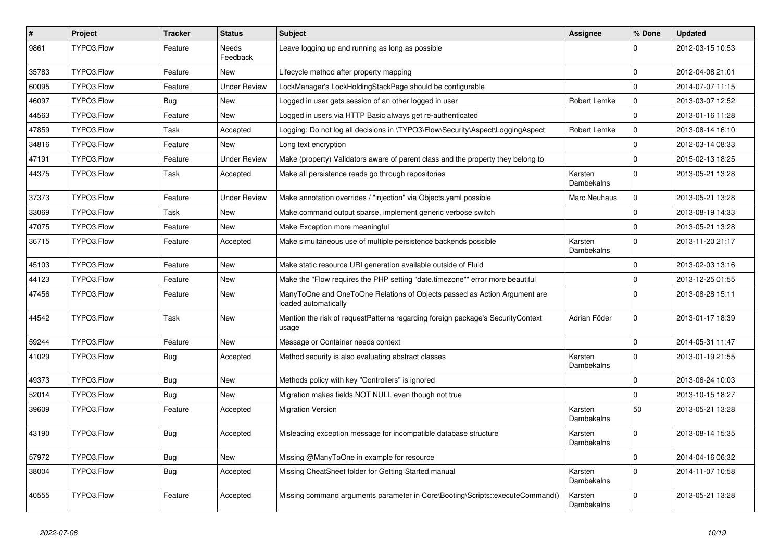| $\pmb{\#}$ | Project    | <b>Tracker</b> | <b>Status</b>            | <b>Subject</b>                                                                                    | <b>Assignee</b>       | % Done         | <b>Updated</b>   |
|------------|------------|----------------|--------------------------|---------------------------------------------------------------------------------------------------|-----------------------|----------------|------------------|
| 9861       | TYPO3.Flow | Feature        | <b>Needs</b><br>Feedback | Leave logging up and running as long as possible                                                  |                       | $\Omega$       | 2012-03-15 10:53 |
| 35783      | TYPO3.Flow | Feature        | <b>New</b>               | Lifecycle method after property mapping                                                           |                       | $\Omega$       | 2012-04-08 21:01 |
| 60095      | TYPO3.Flow | Feature        | <b>Under Review</b>      | LockManager's LockHoldingStackPage should be configurable                                         |                       | $\overline{0}$ | 2014-07-07 11:15 |
| 46097      | TYPO3.Flow | Bug            | <b>New</b>               | Logged in user gets session of an other logged in user                                            | Robert Lemke          | $\mathbf 0$    | 2013-03-07 12:52 |
| 44563      | TYPO3.Flow | Feature        | New                      | Logged in users via HTTP Basic always get re-authenticated                                        |                       | $\Omega$       | 2013-01-16 11:28 |
| 47859      | TYPO3.Flow | Task           | Accepted                 | Logging: Do not log all decisions in \TYPO3\Flow\Security\Aspect\LoggingAspect                    | Robert Lemke          | $\mathbf 0$    | 2013-08-14 16:10 |
| 34816      | TYPO3.Flow | Feature        | <b>New</b>               | Long text encryption                                                                              |                       | 0              | 2012-03-14 08:33 |
| 47191      | TYPO3.Flow | Feature        | <b>Under Review</b>      | Make (property) Validators aware of parent class and the property they belong to                  |                       | $\Omega$       | 2015-02-13 18:25 |
| 44375      | TYPO3.Flow | Task           | Accepted                 | Make all persistence reads go through repositories                                                | Karsten<br>Dambekalns | $\Omega$       | 2013-05-21 13:28 |
| 37373      | TYPO3.Flow | Feature        | <b>Under Review</b>      | Make annotation overrides / "injection" via Objects yaml possible                                 | <b>Marc Neuhaus</b>   | $\Omega$       | 2013-05-21 13:28 |
| 33069      | TYPO3.Flow | Task           | <b>New</b>               | Make command output sparse, implement generic verbose switch                                      |                       | $\overline{0}$ | 2013-08-19 14:33 |
| 47075      | TYPO3.Flow | Feature        | <b>New</b>               | Make Exception more meaningful                                                                    |                       | $\overline{0}$ | 2013-05-21 13:28 |
| 36715      | TYPO3.Flow | Feature        | Accepted                 | Make simultaneous use of multiple persistence backends possible                                   | Karsten<br>Dambekalns | $\overline{0}$ | 2013-11-20 21:17 |
| 45103      | TYPO3.Flow | Feature        | New                      | Make static resource URI generation available outside of Fluid                                    |                       | $\Omega$       | 2013-02-03 13:16 |
| 44123      | TYPO3.Flow | Feature        | New                      | Make the "Flow requires the PHP setting "date.timezone"" error more beautiful                     |                       | 0              | 2013-12-25 01:55 |
| 47456      | TYPO3.Flow | Feature        | New                      | ManyToOne and OneToOne Relations of Objects passed as Action Argument are<br>loaded automatically |                       | $\Omega$       | 2013-08-28 15:11 |
| 44542      | TYPO3.Flow | Task           | <b>New</b>               | Mention the risk of requestPatterns regarding foreign package's SecurityContext<br>usage          | Adrian Föder          | $\mathbf 0$    | 2013-01-17 18:39 |
| 59244      | TYPO3.Flow | Feature        | New                      | Message or Container needs context                                                                |                       | $\overline{0}$ | 2014-05-31 11:47 |
| 41029      | TYPO3.Flow | <b>Bug</b>     | Accepted                 | Method security is also evaluating abstract classes                                               | Karsten<br>Dambekalns | $\Omega$       | 2013-01-19 21:55 |
| 49373      | TYPO3.Flow | Bug            | <b>New</b>               | Methods policy with key "Controllers" is ignored                                                  |                       | $\mathbf 0$    | 2013-06-24 10:03 |
| 52014      | TYPO3.Flow | <b>Bug</b>     | <b>New</b>               | Migration makes fields NOT NULL even though not true                                              |                       | $\Omega$       | 2013-10-15 18:27 |
| 39609      | TYPO3.Flow | Feature        | Accepted                 | <b>Migration Version</b>                                                                          | Karsten<br>Dambekalns | 50             | 2013-05-21 13:28 |
| 43190      | TYPO3.Flow | <b>Bug</b>     | Accepted                 | Misleading exception message for incompatible database structure                                  | Karsten<br>Dambekalns | $\Omega$       | 2013-08-14 15:35 |
| 57972      | TYPO3.Flow | Bug            | New                      | Missing @ManyToOne in example for resource                                                        |                       | $\Omega$       | 2014-04-16 06:32 |
| 38004      | TYPO3.Flow | <b>Bug</b>     | Accepted                 | Missing CheatSheet folder for Getting Started manual                                              | Karsten<br>Dambekalns | $\overline{0}$ | 2014-11-07 10:58 |
| 40555      | TYPO3.Flow | Feature        | Accepted                 | Missing command arguments parameter in Core\Booting\Scripts::executeCommand()                     | Karsten<br>Dambekalns | $\Omega$       | 2013-05-21 13:28 |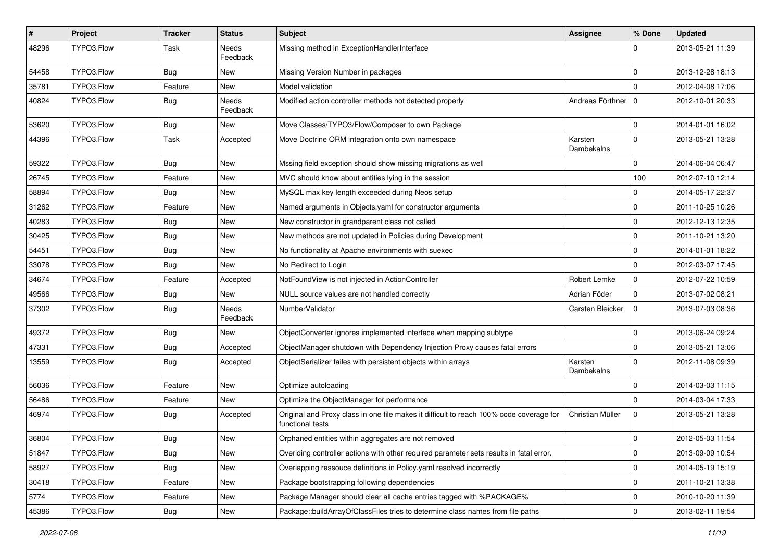| #     | Project    | <b>Tracker</b> | <b>Status</b>            | <b>Subject</b>                                                                                              | <b>Assignee</b>       | % Done       | <b>Updated</b>   |
|-------|------------|----------------|--------------------------|-------------------------------------------------------------------------------------------------------------|-----------------------|--------------|------------------|
| 48296 | TYPO3.Flow | Task           | Needs<br>Feedback        | Missing method in ExceptionHandlerInterface                                                                 |                       | $\Omega$     | 2013-05-21 11:39 |
| 54458 | TYPO3.Flow | Bug            | New                      | Missing Version Number in packages                                                                          |                       | 0            | 2013-12-28 18:13 |
| 35781 | TYPO3.Flow | Feature        | New                      | Model validation                                                                                            |                       | $\Omega$     | 2012-04-08 17:06 |
| 40824 | TYPO3.Flow | Bug            | <b>Needs</b><br>Feedback | Modified action controller methods not detected properly                                                    | Andreas Förthner   0  |              | 2012-10-01 20:33 |
| 53620 | TYPO3.Flow | Bug            | New                      | Move Classes/TYPO3/Flow/Composer to own Package                                                             |                       | $\mathbf 0$  | 2014-01-01 16:02 |
| 44396 | TYPO3.Flow | Task           | Accepted                 | Move Doctrine ORM integration onto own namespace                                                            | Karsten<br>Dambekalns | $\mathbf 0$  | 2013-05-21 13:28 |
| 59322 | TYPO3.Flow | Bug            | New                      | Mssing field exception should show missing migrations as well                                               |                       | $\mathbf 0$  | 2014-06-04 06:47 |
| 26745 | TYPO3.Flow | Feature        | New                      | MVC should know about entities lying in the session                                                         |                       | 100          | 2012-07-10 12:14 |
| 58894 | TYPO3.Flow | <b>Bug</b>     | New                      | MySQL max key length exceeded during Neos setup                                                             |                       | $\mathbf 0$  | 2014-05-17 22:37 |
| 31262 | TYPO3.Flow | Feature        | New                      | Named arguments in Objects.yaml for constructor arguments                                                   |                       | 0            | 2011-10-25 10:26 |
| 40283 | TYPO3.Flow | Bug            | New                      | New constructor in grandparent class not called                                                             |                       | $\mathbf 0$  | 2012-12-13 12:35 |
| 30425 | TYPO3.Flow | <b>Bug</b>     | New                      | New methods are not updated in Policies during Development                                                  |                       | $\mathbf 0$  | 2011-10-21 13:20 |
| 54451 | TYPO3.Flow | Bug            | New                      | No functionality at Apache environments with suexec                                                         |                       | $\mathbf 0$  | 2014-01-01 18:22 |
| 33078 | TYPO3.Flow | <b>Bug</b>     | New                      | No Redirect to Login                                                                                        |                       | $\mathbf 0$  | 2012-03-07 17:45 |
| 34674 | TYPO3.Flow | Feature        | Accepted                 | NotFoundView is not injected in ActionController                                                            | Robert Lemke          | 0            | 2012-07-22 10:59 |
| 49566 | TYPO3.Flow | Bug            | New                      | NULL source values are not handled correctly                                                                | Adrian Föder          | $\mathbf{0}$ | 2013-07-02 08:21 |
| 37302 | TYPO3.Flow | Bug            | <b>Needs</b><br>Feedback | NumberValidator                                                                                             | Carsten Bleicker      | $\Omega$     | 2013-07-03 08:36 |
| 49372 | TYPO3.Flow | Bug            | New                      | ObjectConverter ignores implemented interface when mapping subtype                                          |                       | $\Omega$     | 2013-06-24 09:24 |
| 47331 | TYPO3.Flow | <b>Bug</b>     | Accepted                 | ObjectManager shutdown with Dependency Injection Proxy causes fatal errors                                  |                       | $\mathbf 0$  | 2013-05-21 13:06 |
| 13559 | TYPO3.Flow | Bug            | Accepted                 | ObjectSerializer failes with persistent objects within arrays                                               | Karsten<br>Dambekalns | $\mathbf 0$  | 2012-11-08 09:39 |
| 56036 | TYPO3.Flow | Feature        | New                      | Optimize autoloading                                                                                        |                       | $\mathbf 0$  | 2014-03-03 11:15 |
| 56486 | TYPO3.Flow | Feature        | New                      | Optimize the ObjectManager for performance                                                                  |                       | 0            | 2014-03-04 17:33 |
| 46974 | TYPO3.Flow | Bug            | Accepted                 | Original and Proxy class in one file makes it difficult to reach 100% code coverage for<br>functional tests | Christian Müller      | $\mathbf 0$  | 2013-05-21 13:28 |
| 36804 | TYPO3.Flow | Bug            | New                      | Orphaned entities within aggregates are not removed                                                         |                       | $\mathbf 0$  | 2012-05-03 11:54 |
| 51847 | TYPO3.Flow | <b>Bug</b>     | New                      | Overiding controller actions with other required parameter sets results in fatal error.                     |                       | $\mathbf 0$  | 2013-09-09 10:54 |
| 58927 | TYPO3.Flow | <b>Bug</b>     | New                      | Overlapping ressouce definitions in Policy.yaml resolved incorrectly                                        |                       | $\mathbf 0$  | 2014-05-19 15:19 |
| 30418 | TYPO3.Flow | Feature        | New                      | Package bootstrapping following dependencies                                                                |                       | $\mathbf 0$  | 2011-10-21 13:38 |
| 5774  | TYPO3.Flow | Feature        | New                      | Package Manager should clear all cache entries tagged with %PACKAGE%                                        |                       | 0            | 2010-10-20 11:39 |
| 45386 | TYPO3.Flow | Bug            | New                      | Package::buildArrayOfClassFiles tries to determine class names from file paths                              |                       | $\mathbf 0$  | 2013-02-11 19:54 |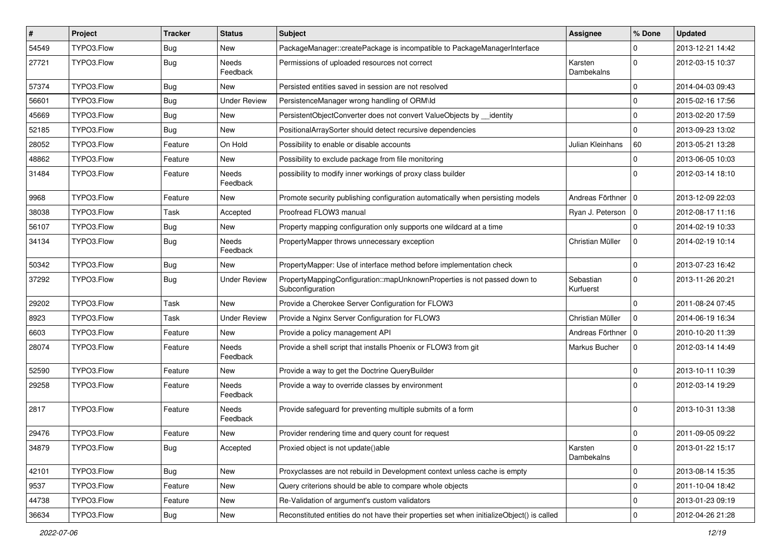| $\vert$ # | Project    | <b>Tracker</b> | <b>Status</b>            | Subject                                                                                      | Assignee               | % Done      | <b>Updated</b>   |
|-----------|------------|----------------|--------------------------|----------------------------------------------------------------------------------------------|------------------------|-------------|------------------|
| 54549     | TYPO3.Flow | <b>Bug</b>     | New                      | PackageManager::createPackage is incompatible to PackageManagerInterface                     |                        | 0           | 2013-12-21 14:42 |
| 27721     | TYPO3.Flow | Bug            | <b>Needs</b><br>Feedback | Permissions of uploaded resources not correct                                                | Karsten<br>Dambekalns  | $\Omega$    | 2012-03-15 10:37 |
| 57374     | TYPO3.Flow | <b>Bug</b>     | New                      | Persisted entities saved in session are not resolved                                         |                        | $\Omega$    | 2014-04-03 09:43 |
| 56601     | TYPO3.Flow | Bug            | <b>Under Review</b>      | PersistenceManager wrong handling of ORM\ld                                                  |                        | $\mathbf 0$ | 2015-02-16 17:56 |
| 45669     | TYPO3.Flow | Bug            | New                      | PersistentObjectConverter does not convert ValueObjects by identity                          |                        | $\mathbf 0$ | 2013-02-20 17:59 |
| 52185     | TYPO3.Flow | Bug            | New                      | PositionalArraySorter should detect recursive dependencies                                   |                        | $\Omega$    | 2013-09-23 13:02 |
| 28052     | TYPO3.Flow | Feature        | On Hold                  | Possibility to enable or disable accounts                                                    | Julian Kleinhans       | 60          | 2013-05-21 13:28 |
| 48862     | TYPO3.Flow | Feature        | New                      | Possibility to exclude package from file monitoring                                          |                        | $\mathbf 0$ | 2013-06-05 10:03 |
| 31484     | TYPO3.Flow | Feature        | <b>Needs</b><br>Feedback | possibility to modify inner workings of proxy class builder                                  |                        | $\Omega$    | 2012-03-14 18:10 |
| 9968      | TYPO3.Flow | Feature        | <b>New</b>               | Promote security publishing configuration automatically when persisting models               | Andreas Förthner       | $\Omega$    | 2013-12-09 22:03 |
| 38038     | TYPO3.Flow | Task           | Accepted                 | Proofread FLOW3 manual                                                                       | Ryan J. Peterson   0   |             | 2012-08-17 11:16 |
| 56107     | TYPO3.Flow | <b>Bug</b>     | New                      | Property mapping configuration only supports one wildcard at a time                          |                        | $\Omega$    | 2014-02-19 10:33 |
| 34134     | TYPO3.Flow | <b>Bug</b>     | Needs<br>Feedback        | PropertyMapper throws unnecessary exception                                                  | Christian Müller       | $\Omega$    | 2014-02-19 10:14 |
| 50342     | TYPO3.Flow | Bug            | New                      | PropertyMapper: Use of interface method before implementation check                          |                        | $\Omega$    | 2013-07-23 16:42 |
| 37292     | TYPO3.Flow | Bug            | <b>Under Review</b>      | PropertyMappingConfiguration::mapUnknownProperties is not passed down to<br>Subconfiguration | Sebastian<br>Kurfuerst | $\Omega$    | 2013-11-26 20:21 |
| 29202     | TYPO3.Flow | Task           | <b>New</b>               | Provide a Cherokee Server Configuration for FLOW3                                            |                        | $\Omega$    | 2011-08-24 07:45 |
| 8923      | TYPO3.Flow | Task           | <b>Under Review</b>      | Provide a Nginx Server Configuration for FLOW3                                               | Christian Müller       | $\mathbf 0$ | 2014-06-19 16:34 |
| 6603      | TYPO3.Flow | Feature        | <b>New</b>               | Provide a policy management API                                                              | Andreas Förthner   0   |             | 2010-10-20 11:39 |
| 28074     | TYPO3.Flow | Feature        | Needs<br>Feedback        | Provide a shell script that installs Phoenix or FLOW3 from git                               | Markus Bucher          | $\mathbf 0$ | 2012-03-14 14:49 |
| 52590     | TYPO3.Flow | Feature        | New                      | Provide a way to get the Doctrine QueryBuilder                                               |                        | $\mathbf 0$ | 2013-10-11 10:39 |
| 29258     | TYPO3.Flow | Feature        | Needs<br>Feedback        | Provide a way to override classes by environment                                             |                        | $\Omega$    | 2012-03-14 19:29 |
| 2817      | TYPO3.Flow | Feature        | Needs<br>Feedback        | Provide safeguard for preventing multiple submits of a form                                  |                        | $\Omega$    | 2013-10-31 13:38 |
| 29476     | TYPO3.Flow | Feature        | New                      | Provider rendering time and query count for request                                          |                        | $\mathbf 0$ | 2011-09-05 09:22 |
| 34879     | TYPO3.Flow | Bug            | Accepted                 | Proxied object is not update()able                                                           | Karsten<br>Dambekalns  | $\pmb{0}$   | 2013-01-22 15:17 |
| 42101     | TYPO3.Flow | <b>Bug</b>     | New                      | Proxyclasses are not rebuild in Development context unless cache is empty                    |                        | $\mathbf 0$ | 2013-08-14 15:35 |
| 9537      | TYPO3.Flow | Feature        | New                      | Query criterions should be able to compare whole objects                                     |                        | $\mathbf 0$ | 2011-10-04 18:42 |
| 44738     | TYPO3.Flow | Feature        | New                      | Re-Validation of argument's custom validators                                                |                        | 0           | 2013-01-23 09:19 |
| 36634     | TYPO3.Flow | Bug            | New                      | Reconstituted entities do not have their properties set when initializeObject() is called    |                        | $\pmb{0}$   | 2012-04-26 21:28 |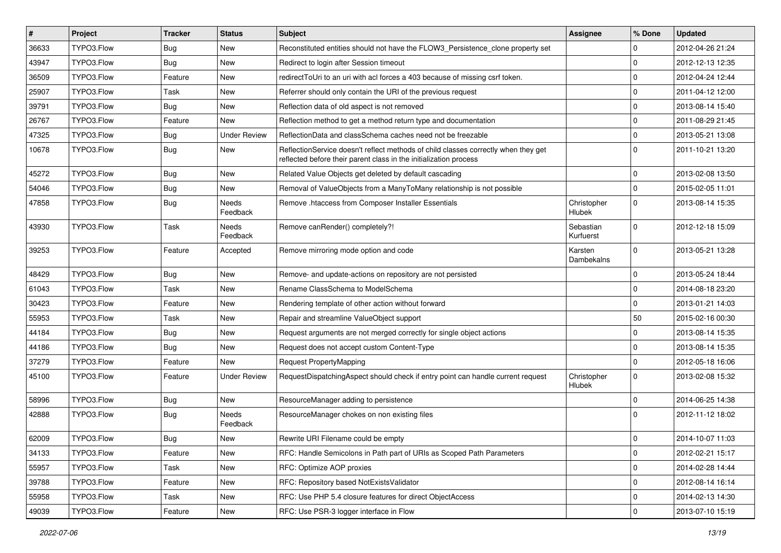| #     | Project    | <b>Tracker</b> | <b>Status</b>       | Subject                                                                                                                                                 | <b>Assignee</b>              | % Done      | <b>Updated</b>   |
|-------|------------|----------------|---------------------|---------------------------------------------------------------------------------------------------------------------------------------------------------|------------------------------|-------------|------------------|
| 36633 | TYPO3.Flow | <b>Bug</b>     | New                 | Reconstituted entities should not have the FLOW3 Persistence clone property set                                                                         |                              | 0           | 2012-04-26 21:24 |
| 43947 | TYPO3.Flow | Bug            | <b>New</b>          | Redirect to login after Session timeout                                                                                                                 |                              | $\mathbf 0$ | 2012-12-13 12:35 |
| 36509 | TYPO3.Flow | Feature        | New                 | redirectToUri to an uri with acl forces a 403 because of missing csrf token.                                                                            |                              | $\mathbf 0$ | 2012-04-24 12:44 |
| 25907 | TYPO3.Flow | Task           | <b>New</b>          | Referrer should only contain the URI of the previous request                                                                                            |                              | $\mathbf 0$ | 2011-04-12 12:00 |
| 39791 | TYPO3.Flow | Bug            | <b>New</b>          | Reflection data of old aspect is not removed                                                                                                            |                              | 0           | 2013-08-14 15:40 |
| 26767 | TYPO3.Flow | Feature        | New                 | Reflection method to get a method return type and documentation                                                                                         |                              | $\mathbf 0$ | 2011-08-29 21:45 |
| 47325 | TYPO3.Flow | Bug            | <b>Under Review</b> | ReflectionData and classSchema caches need not be freezable                                                                                             |                              | $\mathbf 0$ | 2013-05-21 13:08 |
| 10678 | TYPO3.Flow | Bug            | New                 | ReflectionService doesn't reflect methods of child classes correctly when they get<br>reflected before their parent class in the initialization process |                              | $\Omega$    | 2011-10-21 13:20 |
| 45272 | TYPO3.Flow | <b>Bug</b>     | <b>New</b>          | Related Value Objects get deleted by default cascading                                                                                                  |                              | $\mathbf 0$ | 2013-02-08 13:50 |
| 54046 | TYPO3.Flow | Bug            | New                 | Removal of ValueObjects from a ManyToMany relationship is not possible                                                                                  |                              | $\mathbf 0$ | 2015-02-05 11:01 |
| 47858 | TYPO3.Flow | Bug            | Needs<br>Feedback   | Remove .htaccess from Composer Installer Essentials                                                                                                     | Christopher<br><b>Hlubek</b> | $\mathbf 0$ | 2013-08-14 15:35 |
| 43930 | TYPO3.Flow | Task           | Needs<br>Feedback   | Remove canRender() completely?!                                                                                                                         | Sebastian<br>Kurfuerst       | $\mathbf 0$ | 2012-12-18 15:09 |
| 39253 | TYPO3.Flow | Feature        | Accepted            | Remove mirroring mode option and code                                                                                                                   | Karsten<br>Dambekalns        | $\Omega$    | 2013-05-21 13:28 |
| 48429 | TYPO3.Flow | Bug            | <b>New</b>          | Remove- and update-actions on repository are not persisted                                                                                              |                              | $\mathbf 0$ | 2013-05-24 18:44 |
| 61043 | TYPO3.Flow | Task           | New                 | Rename ClassSchema to ModelSchema                                                                                                                       |                              | $\mathbf 0$ | 2014-08-18 23:20 |
| 30423 | TYPO3.Flow | Feature        | <b>New</b>          | Rendering template of other action without forward                                                                                                      |                              | $\mathbf 0$ | 2013-01-21 14:03 |
| 55953 | TYPO3.Flow | Task           | <b>New</b>          | Repair and streamline ValueObject support                                                                                                               |                              | 50          | 2015-02-16 00:30 |
| 44184 | TYPO3.Flow | Bug            | New                 | Request arguments are not merged correctly for single object actions                                                                                    |                              | $\mathbf 0$ | 2013-08-14 15:35 |
| 44186 | TYPO3.Flow | Bug            | <b>New</b>          | Request does not accept custom Content-Type                                                                                                             |                              | $\mathbf 0$ | 2013-08-14 15:35 |
| 37279 | TYPO3.Flow | Feature        | New                 | Request PropertyMapping                                                                                                                                 |                              | 0           | 2012-05-18 16:06 |
| 45100 | TYPO3.Flow | Feature        | <b>Under Review</b> | RequestDispatchingAspect should check if entry point can handle current request                                                                         | Christopher<br>Hlubek        | $\Omega$    | 2013-02-08 15:32 |
| 58996 | TYPO3.Flow | Bug            | New                 | ResourceManager adding to persistence                                                                                                                   |                              | $\mathbf 0$ | 2014-06-25 14:38 |
| 42888 | TYPO3.Flow | Bug            | Needs<br>Feedback   | ResourceManager chokes on non existing files                                                                                                            |                              | $\Omega$    | 2012-11-12 18:02 |
| 62009 | TYPO3.Flow | <b>Bug</b>     | <b>New</b>          | Rewrite URI Filename could be empty                                                                                                                     |                              | $\mathbf 0$ | 2014-10-07 11:03 |
| 34133 | TYPO3.Flow | Feature        | New                 | RFC: Handle Semicolons in Path part of URIs as Scoped Path Parameters                                                                                   |                              | $\mathbf 0$ | 2012-02-21 15:17 |
| 55957 | TYPO3.Flow | Task           | New                 | RFC: Optimize AOP proxies                                                                                                                               |                              | 0           | 2014-02-28 14:44 |
| 39788 | TYPO3.Flow | Feature        | New                 | RFC: Repository based NotExistsValidator                                                                                                                |                              | $\mathbf 0$ | 2012-08-14 16:14 |
| 55958 | TYPO3.Flow | Task           | New                 | RFC: Use PHP 5.4 closure features for direct ObjectAccess                                                                                               |                              | $\mathbf 0$ | 2014-02-13 14:30 |
| 49039 | TYPO3.Flow | Feature        | New                 | RFC: Use PSR-3 logger interface in Flow                                                                                                                 |                              | $\mathbf 0$ | 2013-07-10 15:19 |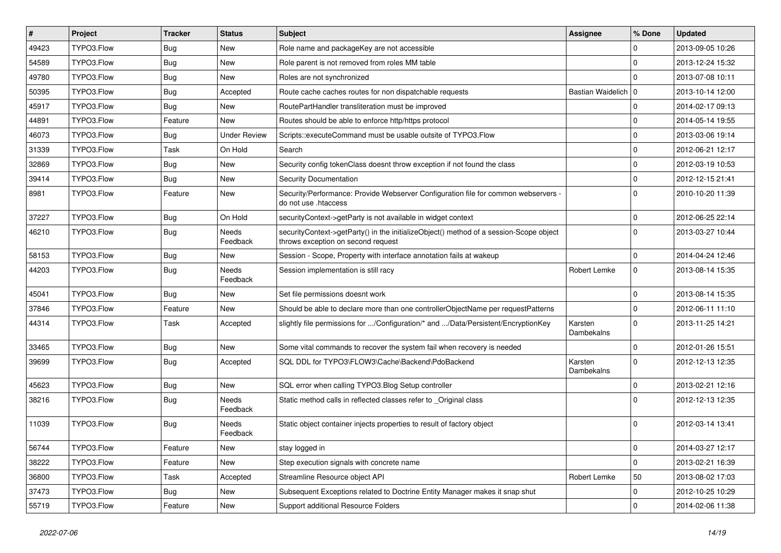| #     | Project    | <b>Tracker</b> | <b>Status</b>       | Subject                                                                                                                      | <b>Assignee</b>       | % Done      | <b>Updated</b>   |
|-------|------------|----------------|---------------------|------------------------------------------------------------------------------------------------------------------------------|-----------------------|-------------|------------------|
| 49423 | TYPO3.Flow | Bug            | <b>New</b>          | Role name and packageKey are not accessible                                                                                  |                       | 0           | 2013-09-05 10:26 |
| 54589 | TYPO3.Flow | Bug            | <b>New</b>          | Role parent is not removed from roles MM table                                                                               |                       | $\mathbf 0$ | 2013-12-24 15:32 |
| 49780 | TYPO3.Flow | Bug            | New                 | Roles are not synchronized                                                                                                   |                       | $\Omega$    | 2013-07-08 10:11 |
| 50395 | TYPO3.Flow | Bug            | Accepted            | Route cache caches routes for non dispatchable requests                                                                      | Bastian Waidelich   0 |             | 2013-10-14 12:00 |
| 45917 | TYPO3.Flow | Bug            | <b>New</b>          | RoutePartHandler transliteration must be improved                                                                            |                       | $\mathbf 0$ | 2014-02-17 09:13 |
| 44891 | TYPO3.Flow | Feature        | New                 | Routes should be able to enforce http/https protocol                                                                         |                       | $\mathbf 0$ | 2014-05-14 19:55 |
| 46073 | TYPO3.Flow | Bug            | <b>Under Review</b> | Scripts::executeCommand must be usable outsite of TYPO3.Flow                                                                 |                       | $\mathbf 0$ | 2013-03-06 19:14 |
| 31339 | TYPO3.Flow | Task           | On Hold             | Search                                                                                                                       |                       | $\mathbf 0$ | 2012-06-21 12:17 |
| 32869 | TYPO3.Flow | <b>Bug</b>     | <b>New</b>          | Security config tokenClass doesnt throw exception if not found the class                                                     |                       | $\mathbf 0$ | 2012-03-19 10:53 |
| 39414 | TYPO3.Flow | Bug            | New                 | Security Documentation                                                                                                       |                       | $\mathbf 0$ | 2012-12-15 21:41 |
| 8981  | TYPO3.Flow | Feature        | <b>New</b>          | Security/Performance: Provide Webserver Configuration file for common webservers -<br>do not use .htaccess                   |                       | $\Omega$    | 2010-10-20 11:39 |
| 37227 | TYPO3.Flow | Bug            | On Hold             | securityContext->getParty is not available in widget context                                                                 |                       | $\mathbf 0$ | 2012-06-25 22:14 |
| 46210 | TYPO3.Flow | Bug            | Needs<br>Feedback   | securityContext->getParty() in the initializeObject() method of a session-Scope object<br>throws exception on second request |                       | $\Omega$    | 2013-03-27 10:44 |
| 58153 | TYPO3.Flow | Bug            | New                 | Session - Scope, Property with interface annotation fails at wakeup                                                          |                       | $\mathbf 0$ | 2014-04-24 12:46 |
| 44203 | TYPO3.Flow | <b>Bug</b>     | Needs<br>Feedback   | Session implementation is still racy                                                                                         | Robert Lemke          | $\mathbf 0$ | 2013-08-14 15:35 |
| 45041 | TYPO3.Flow | Bug            | New                 | Set file permissions doesnt work                                                                                             |                       | $\mathbf 0$ | 2013-08-14 15:35 |
| 37846 | TYPO3.Flow | Feature        | <b>New</b>          | Should be able to declare more than one controllerObjectName per requestPatterns                                             |                       | $\mathbf 0$ | 2012-06-11 11:10 |
| 44314 | TYPO3.Flow | Task           | Accepted            | slightly file permissions for /Configuration/* and /Data/Persistent/EncryptionKey                                            | Karsten<br>Dambekalns | $\Omega$    | 2013-11-25 14:21 |
| 33465 | TYPO3.Flow | Bug            | <b>New</b>          | Some vital commands to recover the system fail when recovery is needed                                                       |                       | $\mathbf 0$ | 2012-01-26 15:51 |
| 39699 | TYPO3.Flow | Bug            | Accepted            | SQL DDL for TYPO3\FLOW3\Cache\Backend\PdoBackend                                                                             | Karsten<br>Dambekalns | $\Omega$    | 2012-12-13 12:35 |
| 45623 | TYPO3.Flow | <b>Bug</b>     | <b>New</b>          | SQL error when calling TYPO3. Blog Setup controller                                                                          |                       | $\mathbf 0$ | 2013-02-21 12:16 |
| 38216 | TYPO3.Flow | Bug            | Needs<br>Feedback   | Static method calls in reflected classes refer to _Original class                                                            |                       | $\Omega$    | 2012-12-13 12:35 |
| 11039 | TYPO3.Flow | <b>Bug</b>     | Needs<br>Feedback   | Static object container injects properties to result of factory object                                                       |                       | $\Omega$    | 2012-03-14 13:41 |
| 56744 | TYPO3.Flow | Feature        | New                 | stay logged in                                                                                                               |                       | $\pmb{0}$   | 2014-03-27 12:17 |
| 38222 | TYPO3.Flow | Feature        | New                 | Step execution signals with concrete name                                                                                    |                       | $\mathbf 0$ | 2013-02-21 16:39 |
| 36800 | TYPO3.Flow | Task           | Accepted            | Streamline Resource object API                                                                                               | Robert Lemke          | 50          | 2013-08-02 17:03 |
| 37473 | TYPO3.Flow | <b>Bug</b>     | New                 | Subsequent Exceptions related to Doctrine Entity Manager makes it snap shut                                                  |                       | 0           | 2012-10-25 10:29 |
| 55719 | TYPO3.Flow | Feature        | New                 | Support additional Resource Folders                                                                                          |                       | $\mathbf 0$ | 2014-02-06 11:38 |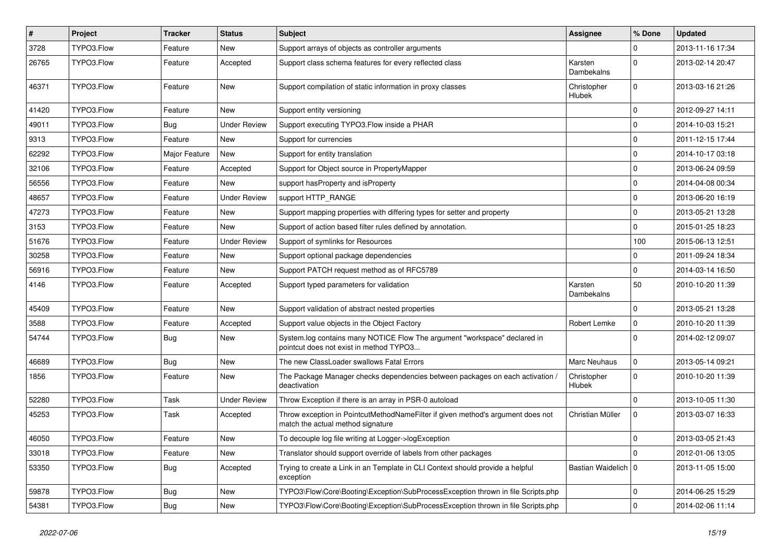| $\vert$ # | Project    | <b>Tracker</b> | <b>Status</b>       | <b>Subject</b>                                                                                                       | <b>Assignee</b>              | % Done              | <b>Updated</b>   |
|-----------|------------|----------------|---------------------|----------------------------------------------------------------------------------------------------------------------|------------------------------|---------------------|------------------|
| 3728      | TYPO3.Flow | Feature        | New                 | Support arrays of objects as controller arguments                                                                    |                              | 0                   | 2013-11-16 17:34 |
| 26765     | TYPO3.Flow | Feature        | Accepted            | Support class schema features for every reflected class                                                              | Karsten<br>Dambekalns        | $\Omega$            | 2013-02-14 20:47 |
| 46371     | TYPO3.Flow | Feature        | New                 | Support compilation of static information in proxy classes                                                           | Christopher<br>Hlubek        | $\Omega$            | 2013-03-16 21:26 |
| 41420     | TYPO3.Flow | Feature        | <b>New</b>          | Support entity versioning                                                                                            |                              | $\mathbf 0$         | 2012-09-27 14:11 |
| 49011     | TYPO3.Flow | <b>Bug</b>     | <b>Under Review</b> | Support executing TYPO3. Flow inside a PHAR                                                                          |                              | $\mathbf 0$         | 2014-10-03 15:21 |
| 9313      | TYPO3.Flow | Feature        | <b>New</b>          | Support for currencies                                                                                               |                              | $\mathbf 0$         | 2011-12-15 17:44 |
| 62292     | TYPO3.Flow | Major Feature  | <b>New</b>          | Support for entity translation                                                                                       |                              | $\Omega$            | 2014-10-17 03:18 |
| 32106     | TYPO3.Flow | Feature        | Accepted            | Support for Object source in PropertyMapper                                                                          |                              | $\mathbf 0$         | 2013-06-24 09:59 |
| 56556     | TYPO3.Flow | Feature        | <b>New</b>          | support has Property and is Property                                                                                 |                              | $\mathbf 0$         | 2014-04-08 00:34 |
| 48657     | TYPO3.Flow | Feature        | <b>Under Review</b> | support HTTP RANGE                                                                                                   |                              | $\mathbf 0$         | 2013-06-20 16:19 |
| 47273     | TYPO3.Flow | Feature        | <b>New</b>          | Support mapping properties with differing types for setter and property                                              |                              | $\mathbf 0$         | 2013-05-21 13:28 |
| 3153      | TYPO3.Flow | Feature        | New                 | Support of action based filter rules defined by annotation.                                                          |                              | $\Omega$            | 2015-01-25 18:23 |
| 51676     | TYPO3.Flow | Feature        | <b>Under Review</b> | Support of symlinks for Resources                                                                                    |                              | 100                 | 2015-06-13 12:51 |
| 30258     | TYPO3.Flow | Feature        | <b>New</b>          | Support optional package dependencies                                                                                |                              | 0                   | 2011-09-24 18:34 |
| 56916     | TYPO3.Flow | Feature        | New                 | Support PATCH request method as of RFC5789                                                                           |                              | $\Omega$            | 2014-03-14 16:50 |
| 4146      | TYPO3.Flow | Feature        | Accepted            | Support typed parameters for validation                                                                              | Karsten<br>Dambekalns        | 50                  | 2010-10-20 11:39 |
| 45409     | TYPO3.Flow | Feature        | <b>New</b>          | Support validation of abstract nested properties                                                                     |                              | $\mathbf 0$         | 2013-05-21 13:28 |
| 3588      | TYPO3.Flow | Feature        | Accepted            | Support value objects in the Object Factory                                                                          | Robert Lemke                 | $\mathbf 0$         | 2010-10-20 11:39 |
| 54744     | TYPO3.Flow | Bug            | New                 | System.log contains many NOTICE Flow The argument "workspace" declared in<br>pointcut does not exist in method TYPO3 |                              | $\Omega$            | 2014-02-12 09:07 |
| 46689     | TYPO3.Flow | <b>Bug</b>     | <b>New</b>          | The new ClassLoader swallows Fatal Errors                                                                            | Marc Neuhaus                 | $\mathbf 0$         | 2013-05-14 09:21 |
| 1856      | TYPO3.Flow | Feature        | New                 | The Package Manager checks dependencies between packages on each activation /<br>deactivation                        | Christopher<br><b>Hlubek</b> | $\Omega$            | 2010-10-20 11:39 |
| 52280     | TYPO3.Flow | Task           | <b>Under Review</b> | Throw Exception if there is an array in PSR-0 autoload                                                               |                              | $\mathbf 0$         | 2013-10-05 11:30 |
| 45253     | TYPO3.Flow | Task           | Accepted            | Throw exception in PointcutMethodNameFilter if given method's argument does not<br>match the actual method signature | Christian Müller             | $\mathbf 0$         | 2013-03-07 16:33 |
| 46050     | TYPO3.Flow | Feature        | New                 | To decouple log file writing at Logger->logException                                                                 |                              | $\Omega$            | 2013-03-05 21:43 |
| 33018     | TYPO3.Flow | Feature        | New                 | Translator should support override of labels from other packages                                                     |                              | $\mathbf 0$         | 2012-01-06 13:05 |
| 53350     | TYPO3.Flow | <b>Bug</b>     | Accepted            | Trying to create a Link in an Template in CLI Context should provide a helpful<br>exception                          | Bastian Waidelich   0        |                     | 2013-11-05 15:00 |
| 59878     | TYPO3.Flow | <b>Bug</b>     | New                 | TYPO3\Flow\Core\Booting\Exception\SubProcessException thrown in file Scripts.php                                     |                              | 0                   | 2014-06-25 15:29 |
| 54381     | TYPO3.Flow | <b>Bug</b>     | New                 | TYPO3\Flow\Core\Booting\Exception\SubProcessException thrown in file Scripts.php                                     |                              | $\mathsf{O}\xspace$ | 2014-02-06 11:14 |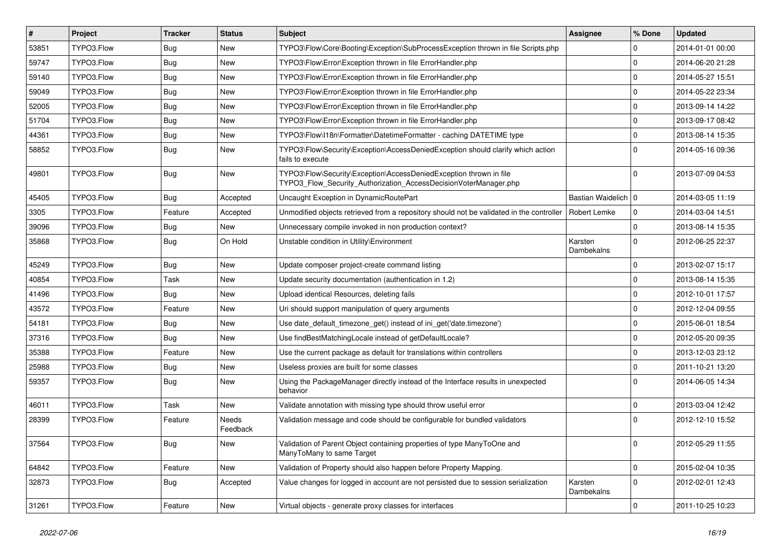| #     | Project    | <b>Tracker</b> | <b>Status</b>     | Subject                                                                                                                                | <b>Assignee</b>       | % Done      | <b>Updated</b>   |
|-------|------------|----------------|-------------------|----------------------------------------------------------------------------------------------------------------------------------------|-----------------------|-------------|------------------|
| 53851 | TYPO3.Flow | <b>Bug</b>     | New               | TYPO3\Flow\Core\Booting\Exception\SubProcessException thrown in file Scripts.php                                                       |                       | 0           | 2014-01-01 00:00 |
| 59747 | TYPO3.Flow | <b>Bug</b>     | <b>New</b>        | TYPO3\Flow\Error\Exception thrown in file ErrorHandler.php                                                                             |                       | $\mathbf 0$ | 2014-06-20 21:28 |
| 59140 | TYPO3.Flow | Bug            | New               | TYPO3\Flow\Error\Exception thrown in file ErrorHandler.php                                                                             |                       | $\mathbf 0$ | 2014-05-27 15:51 |
| 59049 | TYPO3.Flow | Bug            | <b>New</b>        | TYPO3\Flow\Error\Exception thrown in file ErrorHandler.php                                                                             |                       | $\mathbf 0$ | 2014-05-22 23:34 |
| 52005 | TYPO3.Flow | <b>Bug</b>     | <b>New</b>        | TYPO3\Flow\Error\Exception thrown in file ErrorHandler.php                                                                             |                       | 0           | 2013-09-14 14:22 |
| 51704 | TYPO3.Flow | Bug            | New               | TYPO3\Flow\Error\Exception thrown in file ErrorHandler.php                                                                             |                       | $\mathbf 0$ | 2013-09-17 08:42 |
| 44361 | TYPO3.Flow | Bug            | <b>New</b>        | TYPO3\Flow\I18n\Formatter\DatetimeFormatter - caching DATETIME type                                                                    |                       | $\mathbf 0$ | 2013-08-14 15:35 |
| 58852 | TYPO3.Flow | Bug            | <b>New</b>        | TYPO3\Flow\Security\Exception\AccessDeniedException should clarify which action<br>fails to execute                                    |                       | $\Omega$    | 2014-05-16 09:36 |
| 49801 | TYPO3.Flow | Bug            | <b>New</b>        | TYPO3\Flow\Security\Exception\AccessDeniedException thrown in file<br>TYPO3_Flow_Security_Authorization_AccessDecisionVoterManager.php |                       | $\mathbf 0$ | 2013-07-09 04:53 |
| 45405 | TYPO3.Flow | Bug            | Accepted          | Uncaught Exception in DynamicRoutePart                                                                                                 | Bastian Waidelich   0 |             | 2014-03-05 11:19 |
| 3305  | TYPO3.Flow | Feature        | Accepted          | Unmodified objects retrieved from a repository should not be validated in the controller                                               | Robert Lemke          | 0           | 2014-03-04 14:51 |
| 39096 | TYPO3.Flow | Bug            | New               | Unnecessary compile invoked in non production context?                                                                                 |                       | $\mathbf 0$ | 2013-08-14 15:35 |
| 35868 | TYPO3.Flow | Bug            | On Hold           | Unstable condition in Utility\Environment                                                                                              | Karsten<br>Dambekalns | $\Omega$    | 2012-06-25 22:37 |
| 45249 | TYPO3.Flow | Bug            | <b>New</b>        | Update composer project-create command listing                                                                                         |                       | $\Omega$    | 2013-02-07 15:17 |
| 40854 | TYPO3.Flow | Task           | <b>New</b>        | Update security documentation (authentication in 1.2)                                                                                  |                       | $\mathbf 0$ | 2013-08-14 15:35 |
| 41496 | TYPO3.Flow | <b>Bug</b>     | New               | Upload identical Resources, deleting fails                                                                                             |                       | $\mathbf 0$ | 2012-10-01 17:57 |
| 43572 | TYPO3.Flow | Feature        | New               | Uri should support manipulation of query arguments                                                                                     |                       | 0           | 2012-12-04 09:55 |
| 54181 | TYPO3.Flow | Bug            | <b>New</b>        | Use date_default_timezone_get() instead of ini_get('date.timezone')                                                                    |                       | $\mathbf 0$ | 2015-06-01 18:54 |
| 37316 | TYPO3.Flow | Bug            | New               | Use findBestMatchingLocale instead of getDefaultLocale?                                                                                |                       | $\mathbf 0$ | 2012-05-20 09:35 |
| 35388 | TYPO3.Flow | Feature        | <b>New</b>        | Use the current package as default for translations within controllers                                                                 |                       | $\mathbf 0$ | 2013-12-03 23:12 |
| 25988 | TYPO3.Flow | Bug            | New               | Useless proxies are built for some classes                                                                                             |                       | $\mathbf 0$ | 2011-10-21 13:20 |
| 59357 | TYPO3.Flow | Bug            | New               | Using the PackageManager directly instead of the Interface results in unexpected<br>behavior                                           |                       | $\Omega$    | 2014-06-05 14:34 |
| 46011 | TYPO3.Flow | Task           | New               | Validate annotation with missing type should throw useful error                                                                        |                       | $\mathbf 0$ | 2013-03-04 12:42 |
| 28399 | TYPO3.Flow | Feature        | Needs<br>Feedback | Validation message and code should be configurable for bundled validators                                                              |                       | $\Omega$    | 2012-12-10 15:52 |
| 37564 | TYPO3.Flow | Bug            | New               | Validation of Parent Object containing properties of type ManyToOne and<br>ManyToMany to same Target                                   |                       | 0           | 2012-05-29 11:55 |
| 64842 | TYPO3.Flow | Feature        | New               | Validation of Property should also happen before Property Mapping.                                                                     |                       | $\mathbf 0$ | 2015-02-04 10:35 |
| 32873 | TYPO3.Flow | <b>Bug</b>     | Accepted          | Value changes for logged in account are not persisted due to session serialization                                                     | Karsten<br>Dambekalns | $\mathbf 0$ | 2012-02-01 12:43 |
| 31261 | TYPO3.Flow | Feature        | New               | Virtual objects - generate proxy classes for interfaces                                                                                |                       | $\pmb{0}$   | 2011-10-25 10:23 |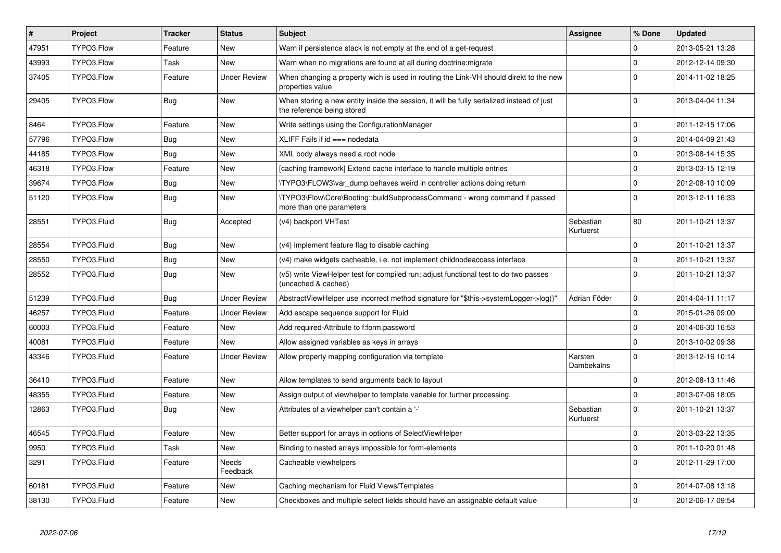| $\vert$ # | Project     | <b>Tracker</b> | <b>Status</b>       | <b>Subject</b>                                                                                                          | <b>Assignee</b>        | % Done      | <b>Updated</b>   |
|-----------|-------------|----------------|---------------------|-------------------------------------------------------------------------------------------------------------------------|------------------------|-------------|------------------|
| 47951     | TYPO3.Flow  | Feature        | <b>New</b>          | Warn if persistence stack is not empty at the end of a get-request                                                      |                        | 0           | 2013-05-21 13:28 |
| 43993     | TYPO3.Flow  | Task           | <b>New</b>          | Warn when no migrations are found at all during doctrine: migrate                                                       |                        | $\Omega$    | 2012-12-14 09:30 |
| 37405     | TYPO3.Flow  | Feature        | <b>Under Review</b> | When changing a property wich is used in routing the Link-VH should direkt to the new<br>properties value               |                        | $\Omega$    | 2014-11-02 18:25 |
| 29405     | TYPO3.Flow  | <b>Bug</b>     | <b>New</b>          | When storing a new entity inside the session, it will be fully serialized instead of just<br>the reference being stored |                        | $\Omega$    | 2013-04-04 11:34 |
| 8464      | TYPO3.Flow  | Feature        | <b>New</b>          | Write settings using the ConfigurationManager                                                                           |                        | $\mathbf 0$ | 2011-12-15 17:06 |
| 57796     | TYPO3.Flow  | Bug            | <b>New</b>          | XLIFF Fails if $id ==$ nodedata                                                                                         |                        | $\Omega$    | 2014-04-09 21:43 |
| 44185     | TYPO3.Flow  | Bug            | <b>New</b>          | XML body always need a root node                                                                                        |                        | $\mathbf 0$ | 2013-08-14 15:35 |
| 46318     | TYPO3.Flow  | Feature        | <b>New</b>          | [caching framework] Extend cache interface to handle multiple entries                                                   |                        | $\mathbf 0$ | 2013-03-15 12:19 |
| 39674     | TYPO3.Flow  | <b>Bug</b>     | New                 | \TYPO3\FLOW3\var dump behaves weird in controller actions doing return                                                  |                        | $\mathbf 0$ | 2012-08-10 10:09 |
| 51120     | TYPO3.Flow  | Bug            | <b>New</b>          | \TYPO3\Flow\Core\Booting::buildSubprocessCommand - wrong command if passed<br>more than one parameters                  |                        | $\Omega$    | 2013-12-11 16:33 |
| 28551     | TYPO3.Fluid | Bug            | Accepted            | (v4) backport VHTest                                                                                                    | Sebastian<br>Kurfuerst | 80          | 2011-10-21 13:37 |
| 28554     | TYPO3.Fluid | Bug            | <b>New</b>          | (v4) implement feature flag to disable caching                                                                          |                        | $\mathbf 0$ | 2011-10-21 13:37 |
| 28550     | TYPO3.Fluid | <b>Bug</b>     | New                 | (v4) make widgets cacheable, i.e. not implement childnodeaccess interface                                               |                        | $\Omega$    | 2011-10-21 13:37 |
| 28552     | TYPO3.Fluid | <b>Bug</b>     | <b>New</b>          | (v5) write ViewHelper test for compiled run; adjust functional test to do two passes<br>(uncached & cached)             |                        | $\Omega$    | 2011-10-21 13:37 |
| 51239     | TYPO3.Fluid | <b>Bug</b>     | <b>Under Review</b> | AbstractViewHelper use incorrect method signature for "\$this->systemLogger->log()"                                     | Adrian Föder           | $\mathbf 0$ | 2014-04-11 11:17 |
| 46257     | TYPO3.Fluid | Feature        | <b>Under Review</b> | Add escape sequence support for Fluid                                                                                   |                        | $\mathbf 0$ | 2015-01-26 09:00 |
| 60003     | TYPO3.Fluid | Feature        | <b>New</b>          | Add required-Attribute to f:form.password                                                                               |                        | $\mathbf 0$ | 2014-06-30 16:53 |
| 40081     | TYPO3.Fluid | Feature        | New                 | Allow assigned variables as keys in arrays                                                                              |                        | $\mathbf 0$ | 2013-10-02 09:38 |
| 43346     | TYPO3.Fluid | Feature        | <b>Under Review</b> | Allow property mapping configuration via template                                                                       | Karsten<br>Dambekalns  | $\Omega$    | 2013-12-16 10:14 |
| 36410     | TYPO3.Fluid | Feature        | <b>New</b>          | Allow templates to send arguments back to layout                                                                        |                        | $\mathbf 0$ | 2012-08-13 11:46 |
| 48355     | TYPO3.Fluid | Feature        | <b>New</b>          | Assign output of viewhelper to template variable for further processing.                                                |                        | $\mathbf 0$ | 2013-07-06 18:05 |
| 12863     | TYPO3.Fluid | Bug            | <b>New</b>          | Attributes of a viewhelper can't contain a '-'                                                                          | Sebastian<br>Kurfuerst | $\Omega$    | 2011-10-21 13:37 |
| 46545     | TYPO3.Fluid | Feature        | <b>New</b>          | Better support for arrays in options of SelectViewHelper                                                                |                        | $\mathbf 0$ | 2013-03-22 13:35 |
| 9950      | TYPO3.Fluid | Task           | New                 | Binding to nested arrays impossible for form-elements                                                                   |                        | $\mathbf 0$ | 2011-10-20 01:48 |
| 3291      | TYPO3.Fluid | Feature        | Needs<br>Feedback   | Cacheable viewhelpers                                                                                                   |                        | $\mathbf 0$ | 2012-11-29 17:00 |
| 60181     | TYPO3.Fluid | Feature        | <b>New</b>          | Caching mechanism for Fluid Views/Templates                                                                             |                        | $\mathbf 0$ | 2014-07-08 13:18 |
| 38130     | TYPO3.Fluid | Feature        | <b>New</b>          | Checkboxes and multiple select fields should have an assignable default value                                           |                        | $\mathbf 0$ | 2012-06-17 09:54 |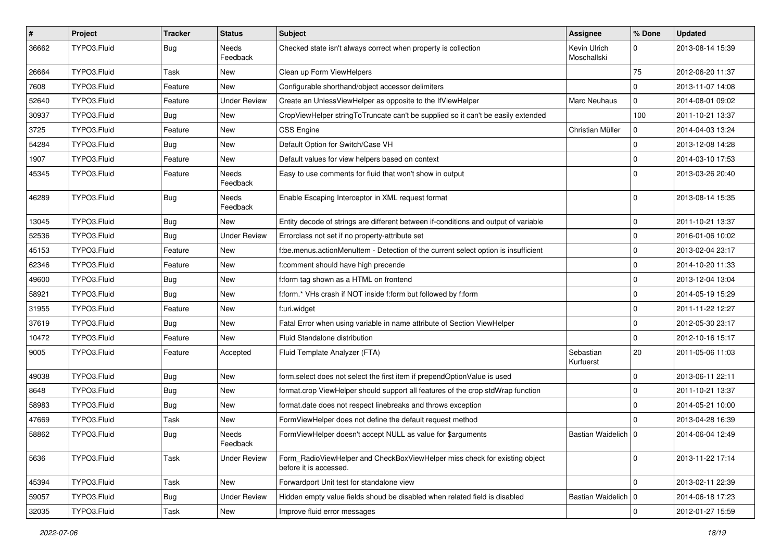| $\sharp$ | Project     | <b>Tracker</b> | <b>Status</b>       | Subject                                                                                              | <b>Assignee</b>             | % Done      | <b>Updated</b>   |
|----------|-------------|----------------|---------------------|------------------------------------------------------------------------------------------------------|-----------------------------|-------------|------------------|
| 36662    | TYPO3.Fluid | Bug            | Needs<br>Feedback   | Checked state isn't always correct when property is collection                                       | Kevin Ulrich<br>Moschallski | 0           | 2013-08-14 15:39 |
| 26664    | TYPO3.Fluid | Task           | New                 | Clean up Form ViewHelpers                                                                            |                             | 75          | 2012-06-20 11:37 |
| 7608     | TYPO3.Fluid | Feature        | <b>New</b>          | Configurable shorthand/object accessor delimiters                                                    |                             | $\mathbf 0$ | 2013-11-07 14:08 |
| 52640    | TYPO3.Fluid | Feature        | <b>Under Review</b> | Create an UnlessViewHelper as opposite to the IfViewHelper                                           | <b>Marc Neuhaus</b>         | $\mathbf 0$ | 2014-08-01 09:02 |
| 30937    | TYPO3.Fluid | <b>Bug</b>     | New                 | CropViewHelper stringToTruncate can't be supplied so it can't be easily extended                     |                             | 100         | 2011-10-21 13:37 |
| 3725     | TYPO3.Fluid | Feature        | <b>New</b>          | <b>CSS Engine</b>                                                                                    | Christian Müller            | 0           | 2014-04-03 13:24 |
| 54284    | TYPO3.Fluid | Bug            | New                 | Default Option for Switch/Case VH                                                                    |                             | 0           | 2013-12-08 14:28 |
| 1907     | TYPO3.Fluid | Feature        | <b>New</b>          | Default values for view helpers based on context                                                     |                             | $\mathbf 0$ | 2014-03-10 17:53 |
| 45345    | TYPO3.Fluid | Feature        | Needs<br>Feedback   | Easy to use comments for fluid that won't show in output                                             |                             | $\Omega$    | 2013-03-26 20:40 |
| 46289    | TYPO3.Fluid | Bug            | Needs<br>Feedback   | Enable Escaping Interceptor in XML request format                                                    |                             | $\Omega$    | 2013-08-14 15:35 |
| 13045    | TYPO3.Fluid | Bug            | <b>New</b>          | Entity decode of strings are different between if-conditions and output of variable                  |                             | $\mathbf 0$ | 2011-10-21 13:37 |
| 52536    | TYPO3.Fluid | Bug            | <b>Under Review</b> | Errorclass not set if no property-attribute set                                                      |                             | 0           | 2016-01-06 10:02 |
| 45153    | TYPO3.Fluid | Feature        | New                 | f:be.menus.actionMenuItem - Detection of the current select option is insufficient                   |                             | $\mathbf 0$ | 2013-02-04 23:17 |
| 62346    | TYPO3.Fluid | Feature        | <b>New</b>          | f:comment should have high precende                                                                  |                             | $\mathbf 0$ | 2014-10-20 11:33 |
| 49600    | TYPO3.Fluid | <b>Bug</b>     | <b>New</b>          | f:form tag shown as a HTML on frontend                                                               |                             | $\mathbf 0$ | 2013-12-04 13:04 |
| 58921    | TYPO3.Fluid | <b>Bug</b>     | New                 | f:form.* VHs crash if NOT inside f:form but followed by f:form                                       |                             | $\mathbf 0$ | 2014-05-19 15:29 |
| 31955    | TYPO3.Fluid | Feature        | <b>New</b>          | f:uri.widget                                                                                         |                             | 0           | 2011-11-22 12:27 |
| 37619    | TYPO3.Fluid | <b>Bug</b>     | <b>New</b>          | Fatal Error when using variable in name attribute of Section ViewHelper                              |                             | $\mathbf 0$ | 2012-05-30 23:17 |
| 10472    | TYPO3.Fluid | Feature        | New                 | Fluid Standalone distribution                                                                        |                             | $\mathbf 0$ | 2012-10-16 15:17 |
| 9005     | TYPO3.Fluid | Feature        | Accepted            | Fluid Template Analyzer (FTA)                                                                        | Sebastian<br>Kurfuerst      | 20          | 2011-05-06 11:03 |
| 49038    | TYPO3.Fluid | <b>Bug</b>     | <b>New</b>          | form.select does not select the first item if prependOptionValue is used                             |                             | $\mathbf 0$ | 2013-06-11 22:11 |
| 8648     | TYPO3.Fluid | Bug            | <b>New</b>          | format.crop ViewHelper should support all features of the crop stdWrap function                      |                             | 0           | 2011-10-21 13:37 |
| 58983    | TYPO3.Fluid | Bug            | New                 | format.date does not respect linebreaks and throws exception                                         |                             | $\mathbf 0$ | 2014-05-21 10:00 |
| 47669    | TYPO3.Fluid | Task           | <b>New</b>          | FormViewHelper does not define the default request method                                            |                             | $\Omega$    | 2013-04-28 16:39 |
| 58862    | TYPO3.Fluid | <b>Bug</b>     | Needs<br>Feedback   | FormViewHelper doesn't accept NULL as value for \$arguments                                          | Bastian Waidelich   0       |             | 2014-06-04 12:49 |
| 5636     | TYPO3.Fluid | Task           | <b>Under Review</b> | Form_RadioViewHelper and CheckBoxViewHelper miss check for existing object<br>before it is accessed. |                             | $\mathbf 0$ | 2013-11-22 17:14 |
| 45394    | TYPO3.Fluid | Task           | New                 | Forwardport Unit test for standalone view                                                            |                             | $\mathbf 0$ | 2013-02-11 22:39 |
| 59057    | TYPO3.Fluid | Bug            | <b>Under Review</b> | Hidden empty value fields shoud be disabled when related field is disabled                           | Bastian Waidelich   0       |             | 2014-06-18 17:23 |
| 32035    | TYPO3.Fluid | Task           | New                 | Improve fluid error messages                                                                         |                             | $\pmb{0}$   | 2012-01-27 15:59 |